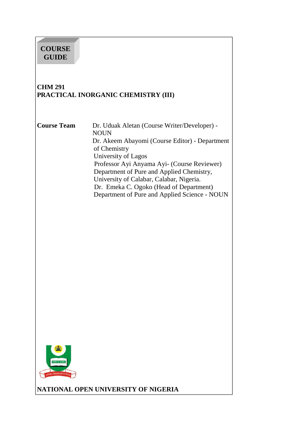# **COURSE GUIDE**

#### **CHM 291 PRACTICAL INORGANIC CHEMISTRY (III)**

**Course Team** Dr. Uduak Aletan (Course Writer/Developer) - **NOUN** Dr. Akeem Abayomi (Course Editor) - Department of Chemistry University of Lagos Professor Ayi Anyama Ayi- (Course Reviewer) Department of Pure and Applied Chemistry, University of Calabar, Calabar, Nigeria. Dr. Emeka C. Ogoko (Head of Department) Department of Pure and Applied Science - NOUN



**NATIONAL OPEN UNIVERSITY OF NIGERIA**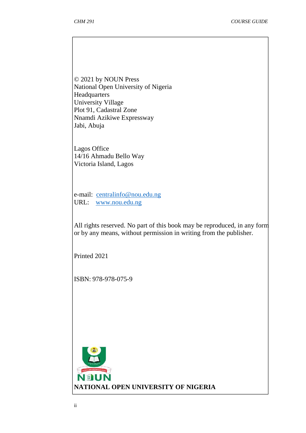© 2021 by NOUN Press National Open University of Nigeria **Headquarters** University Village Plot 91, Cadastral Zone Nnamdi Azikiwe Expressway Jabi, Abuja

Lagos Office 14/16 Ahmadu Bello Way Victoria Island, Lagos

e-mail: centralinfo@nou.edu.ng URL: www.nou.edu.ng

All rights reserved. No part of this book may be reproduced, in any form or by any means, without permission in writing from the publisher.

Printed 2021

ISBN: 978-978-075-9

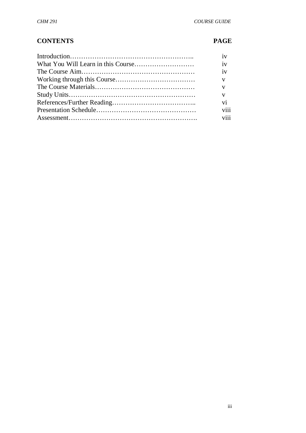#### **CONTENTS PAGE**

| 1V                    |
|-----------------------|
| 1V                    |
| 1V                    |
|                       |
| V                     |
| V                     |
| vi                    |
| viii                  |
| .<br>V <sub>111</sub> |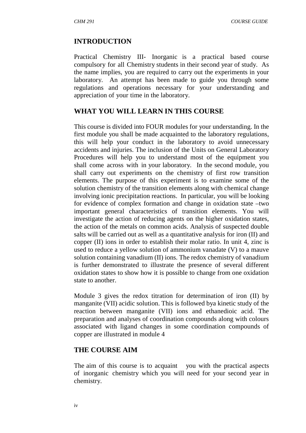*CHM 291 COURSE GUIDE*

#### **INTRODUCTION**

Practical Chemistry III- Inorganic is a practical based course compulsory for all Chemistry students in their second year of study. As the name implies, you are required to carry out the experiments in your laboratory. An attempt has been made to guide you through some regulations and operations necessary for your understanding and appreciation of your time in the laboratory.

#### **WHAT YOU WILL LEARN IN THIS COURSE**

This course is divided into FOUR modules for your understanding. In the first module you shall be made acquainted to the laboratory regulations, this will help your conduct in the laboratory to avoid unnecessary accidents and injuries. The inclusion of the Units on General Laboratory Procedures will help you to understand most of the equipment you shall come across with in your laboratory. In the second module, you shall carry out experiments on the chemistry of first row transition elements. The purpose of this experiment is to examine some of the solution chemistry of the transition elements along with chemical change involving ionic precipitation reactions. In particular, you will be looking for evidence of complex formation and change in oxidation state –two important general characteristics of transition elements. You will investigate the action of reducing agents on the higher oxidation states, the action of the metals on common acids. Analysis of suspected double salts will be carried out as well as a quantitative analysis for iron (II) and copper (II) ions in order to establish their molar ratio. In unit 4, zinc is used to reduce a yellow solution of ammonium vanadate (V) to a mauve solution containing vanadium (II) ions. The redox chemistry of vanadium is further demonstrated to illustrate the presence of several different oxidation states to show how it is possible to change from one oxidation state to another.

Module 3 gives the redox titration for determination of iron (II) by manganite (VII) acidic solution. This is followed bya kinetic study of the reaction between manganite (VII) ions and ethanedioic acid. The preparation and analyses of coordination compounds along with colours associated with ligand changes in some coordination compounds of copper are illustrated in module 4

#### **THE COURSE AIM**

The aim of this course is to acquaint you with the practical aspects of inorganic chemistry which you will need for your second year in chemistry.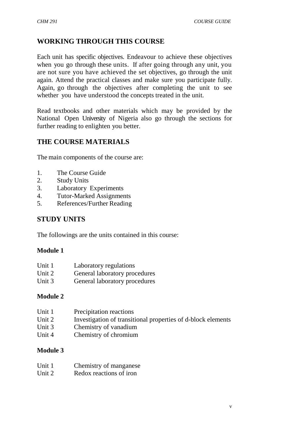# **WORKING THROUGH THIS COURSE**

Each unit has specific objectives. Endeavour to achieve these objectives when you go through these units. If after going through any unit, you are not sure you have achieved the set objectives, go through the unit again. Attend the practical classes and make sure you participate fully. Again, go through the objectives after completing the unit to see whether you have understood the concepts treated in the unit.

Read textbooks and other materials which may be provided by the National Open University of Nigeria also go through the sections for further reading to enlighten you better.

# **THE COURSE MATERIALS**

The main components of the course are:

- 1. The Course Guide
- 2. Study Units
- 3. Laboratory Experiments
- 4. Tutor-Marked Assignments
- 5. References/Further Reading

#### **STUDY UNITS**

The followings are the units contained in this course:

#### **Module 1**

| Unit 1 | Laboratory regulations        |
|--------|-------------------------------|
| Unit 2 | General laboratory procedures |
| Unit 3 | General laboratory procedures |

#### **Module 2**

| Unit 1 | Precipitation reactions                                      |
|--------|--------------------------------------------------------------|
| Unit 2 | Investigation of transitional properties of d-block elements |
| Unit 3 | Chemistry of vanadium                                        |
| Unit 4 | Chemistry of chromium                                        |

#### **Module 3**

| Unit 1 | Chemistry of manganese  |
|--------|-------------------------|
| Unit 2 | Redox reactions of iron |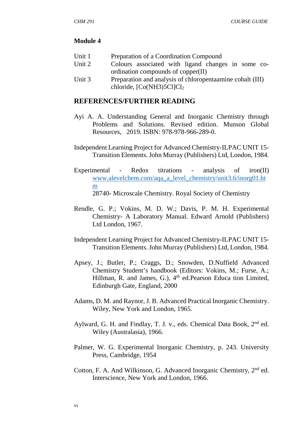#### **Module 4**

| Unit 1 | Preparation of a Coordination Compound                     |
|--------|------------------------------------------------------------|
| Unit 2 | Colours associated with ligand changes in some co-         |
|        | ordination compounds of copper(II)                         |
| Unit 3 | Preparation and analysis of chloropental mine cobalt (III) |
|        | chloride, $[Co(NH3)5Cl]Cl2$                                |

#### **REFERENCES/FURTHER READING**

- Ayi A. A. Understanding General and Inorganic Chemistry through Problems and Solutions. Revised edition. Munson Global Resources, 2019. ISBN: 978-978-966-289-0.
- Independent Learning Project for Advanced Chemistry-ILPAC UNIT 15- Transition Elements. John Murray (Publishers) Ltd, London, 1984.
- Experimental Redox titrations analysis of iron(II) www.alevelchem.com/aqa\_a\_level\_chemistry/unit3.6/inorg01.ht  $\mathbf{m}$ 28740- Microscale Chemistry. Royal Society of Chemistry
- Rendle, G. P.; Vokins, M. D. W.; Davis, P. M. H. Experimental Chemistry- A Laboratory Manual. Edward Arnold (Publishers) Ltd London, 1967.
- Independent Learning Project for Advanced Chemistry-ILPAC UNIT 15- Transition Elements. John Murray (Publishers) Ltd, London, 1984.
- Apsey, J.; Butler, P.; Craggs, D.; Snowden, D.Nuffield Advanced Chemistry Student's handbook (Editors: Vokins, M.; Furse, A.; Hillman, R. and James, G.),  $4<sup>th</sup>$  ed. Pearson Educa tion Limited, Edinburgh Gate, England, 2000
- Adams, D. M. and Raynor, J. B. Advanced Practical Inorganic Chemistry. Wiley, New York and London, 1965.
- Aylward, G. H. and Findlay, T. J. v., eds. Chemical Data Book, 2nd ed. Wiley (Australasia), 1966.
- Palmer, W. G. Experimental Inorganic Chemistry, p. 243. University Press, Cambridge, 1954
- Cotton, F. A. And Wilkinson, G. Advanced Inorganic Chemistry, 2<sup>nd</sup> ed. Interscience, New York and London, 1966.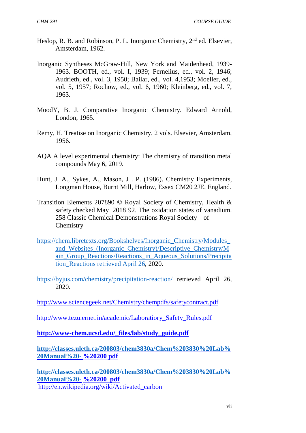- Heslop, R. B. and Robinson, P. L. Inorganic Chemistry, 2<sup>nd</sup> ed. Elsevier, Amsterdam, 1962.
- Inorganic Syntheses McGraw-Hill, New York and Maidenhead, 1939- 1963. BOOTH, ed., vol. I, 1939; Fernelius, ed., vol. 2, 1946; Audrieth, ed., vol. 3, 1950; Bailar, ed., vol. 4,1953; Moeller, ed., vol. 5, 1957; Rochow, ed., vol. 6, 1960; Kleinberg, ed., vol. 7, 1963.
- MoodY, B. J. Comparative Inorganic Chemistry. Edward Arnold, London, 1965.
- Remy, H. Treatise on Inorganic Chemistry, 2 vols. Elsevier, Amsterdam, 1956.
- AQA A level experimental chemistry: The chemistry of transition metal compounds May 6, 2019.
- Hunt, J. A., Sykes, A., Mason, J . P. (1986). Chemistry Experiments, Longman House, Burnt Mill, Harlow, Essex CM20 2JE, England.
- Transition Elements 207890 © Royal Society of Chemistry, Health & safety checked May 2018 92. The oxidation states of vanadium. 258 Classic Chemical Demonstrations Royal Society of **Chemistry**
- https://chem.libretexts.org/Bookshelves/Inorganic\_Chemistry/Modules\_ and\_Websites\_(Inorganic\_Chemistry)/Descriptive\_Chemistry/M ain Group Reactions/Reactions in Aqueous Solutions/Precipita tion\_Reactions retrieved April 26, 2020.
- https://byjus.com/chemistry/precipitation-reaction/ retrieved April 26, 2020.

http://www.sciencegeek.net/Chemistry/chempdfs/safetycontract.pdf

http://www.tezu.ernet.in/academic/Laboratiory\_Safety\_Rules.pdf

**http://www-chem.ucsd.edu/\_files/lab/study\_guide.pdf**

**http://classes.uleth.ca/200803/chem3830a/Chem%203830%20Lab% 20Manual%20- %20200 pdf**

**http://classes.uleth.ca/200803/chem3830a/Chem%203830%20Lab% 20Manual%20- %20200 pdf** http://en.wikipedia.org/wiki/Activated\_carbon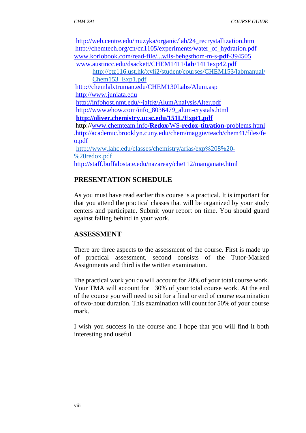http://web.centre.edu/muzyka/organic/lab/24\_recrystallization.htm http://chemtech.org/cn/cn1105/experiments/water\_of\_hydration.pdf www.koriobook.com/read-file/...wils-behgsthom-m-s-**pdf**-394505 www.austincc.edu/dsackett/CHEM1411/**lab**/1411exp42.pdf

http://ctz116.ust.hk/xyli2/student/courses/CHEM153/labmanual/ Chem153\_Exp1.pdf

http://chemlab.truman.edu/CHEM130Labs/Alum.asp http://www.juniata.edu http://infohost.nmt.edu/~jaltig/AlumAnalysisAlter.pdf http://www.ehow.com/info\_8036479\_alum-crystals.html **http://oliver.chemistry.ucsc.edu/151L/Expt1.pdf** http://www.chemteam.info/**Redox**/WS-**redox**-**titration**-problems.html .http://academic.brooklyn.cuny.edu/chem/maggie/teach/chem41/files/fe o.pdf http://www.lahc.edu/classes/chemistry/arias/exp%208%20- %20redox.pdf

http://staff.buffalostate.edu/nazareay/che112/manganate.html

#### **PRESENTATION SCHEDULE**

As you must have read earlier this course is a practical. It is important for that you attend the practical classes that will be organized by your study centers and participate. Submit your report on time. You should guard against falling behind in your work.

#### **ASSESSMENT**

There are three aspects to the assessment of the course. First is made up of practical assessment, second consists of the Tutor-Marked Assignments and third is the written examination.

The practical work you do will account for 20% of your total course work. Your TMA will account for 30% of your total course work. At the end of the course you will need to sit for a final or end of course examination of two-hour duration. This examination will count for 50% of your course mark.

I wish you success in the course and I hope that you will find it both interesting and useful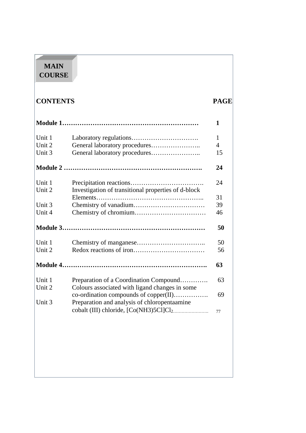# **MAIN COURSE**

| <b>CONTENTS</b> |                                                     | <b>PAGE</b>    |
|-----------------|-----------------------------------------------------|----------------|
|                 |                                                     | 1              |
| Unit 1          |                                                     | 1              |
| Unit 2          |                                                     | $\overline{4}$ |
| Unit 3          |                                                     | 15             |
|                 |                                                     | 24             |
| Unit 1          |                                                     | 24             |
| Unit 2          | Investigation of transitional properties of d-block |                |
|                 |                                                     | 31             |
| Unit 3          |                                                     | 39             |
| Unit 4          |                                                     | 46             |
|                 |                                                     | 50             |
| Unit 1          |                                                     | 50             |
| Unit 2          |                                                     | 56             |
|                 |                                                     | 63             |
|                 | Preparation of a Coordination Compound              | 63             |
| Unit 1          |                                                     |                |
| Unit 2          | Colours associated with ligand changes in some      |                |
|                 | co-ordination compounds of copper(II)               | 69             |
| Unit 3          | Preparation and analysis of chloropentaamine        |                |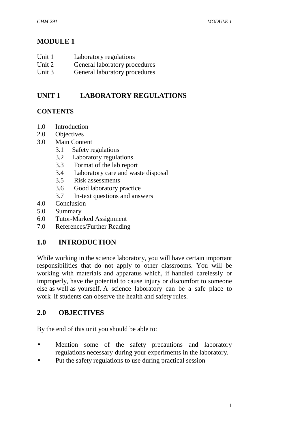# **MODULE 1**

- Unit 2 General laboratory procedures
- Unit 3 General laboratory procedures

# **UNIT 1 LABORATORY REGULATIONS**

#### **CONTENTS**

- 1**.**0 Introduction
- 2.0 Objectives
- 3.0 Main Content
	- 3.1 Safety regulations
	- 3.2 Laboratory regulations
	- 3.3 Format of the lab report
	- 3.4 Laboratory care and waste disposal
	- 3.5 Risk assessments
	- 3.6 Good laboratory practice
	- 3.7 In-text questions and answers
- 4.0 Conclusion
- 5.0 Summary
- 6.0 Tutor-Marked Assignment
- 7.0 References/Further Reading

# **1.0 INTRODUCTION**

While working in the science laboratory, you will have certain important responsibilities that do not apply to other classrooms. You will be working with materials and apparatus which, if handled carelessly or improperly, have the potential to cause injury or discomfort to someone else as well as yourself. A science laboratory can be a safe place to work if students can observe the health and safety rules.

# **2.0 OBJECTIVES**

By the end of this unit you should be able to:

- Mention some of the safety precautions and laboratory regulations necessary during your experiments in the laboratory.
- Put the safety regulations to use during practical session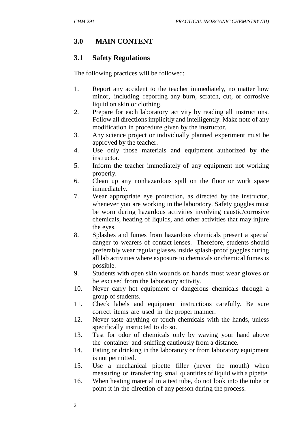# **3.0 MAIN CONTENT**

#### **3.1 Safety Regulations**

The following practices will be followed:

- 1. Report any accident to the teacher immediately, no matter how minor, including reporting any burn, scratch, cut, or corrosive liquid on skin or clothing.
- 2. Prepare for each laboratory activity by reading all instructions. Follow all directions implicitly and intelligently. Make note of any modification in procedure given by the instructor.
- 3. Any science project or individually planned experiment must be approved by the teacher.
- 4. Use only those materials and equipment authorized by the instructor.
- 5. Inform the teacher immediately of any equipment not working properly.
- 6. Clean up any nonhazardous spill on the floor or work space immediately.
- 7. Wear appropriate eye protection, as directed by the instructor, whenever you are working in the laboratory. Safety goggles must be worn during hazardous activities involving caustic/corrosive chemicals, heating of liquids, and other activities that may injure the eyes.
- 8. Splashes and fumes from hazardous chemicals present a special danger to wearers of contact lenses. Therefore, students should preferably wear regular glassesinside splash-proof goggles during all lab activities where exposure to chemicals or chemical fumes is possible.
- 9. Students with open skin wounds on hands must wear gloves or be excused from the laboratory activity.
- 10. Never carry hot equipment or dangerous chemicals through a group of students.
- 11. Check labels and equipment instructions carefully. Be sure correct items are used in the proper manner.
- 12. Never taste anything or touch chemicals with the hands, unless specifically instructed to do so.
- 13. Test for odor of chemicals only by waving your hand above the container and sniffing cautiously from a distance.
- 14. Eating or drinking in the laboratory or from laboratory equipment is not permitted.
- 15. Use a mechanical pipette filler (never the mouth) when measuring or transferring small quantities of liquid with a pipette.
- 16. When heating material in a test tube, do not look into the tube or point it in the direction of any person during the process.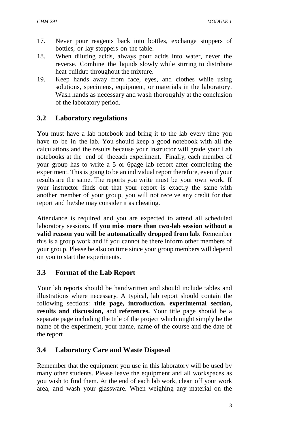- 17. Never pour reagents back into bottles, exchange stoppers of bottles, or lay stoppers on the table.
- 18. When diluting acids, always pour acids into water, never the reverse. Combine the liquids slowly while stirring to distribute heat buildup throughout the mixture.
- 19. Keep hands away from face, eyes, and clothes while using solutions, specimens, equipment, or materials in the laboratory. Wash hands as necessary and wash thoroughly at the conclusion of the laboratory period.

# **3.2 Laboratory regulations**

You must have a lab notebook and bring it to the lab every time you have to be in the lab. You should keep a good notebook with all the calculations and the results because your instructor will grade your Lab notebooks at the end of theeach experiment. Finally, each member of your group has to write a 5 or 6page lab report after completing the experiment. This is going to be an individual report therefore, even if your results are the same. The reports you write must be your own work. If your instructor finds out that your report is exactly the same with another member of your group, you will not receive any credit for that report and he/she may consider it as cheating.

Attendance is required and you are expected to attend all scheduled laboratory sessions. **If you miss more than two-lab session without a valid reason you will be automatically dropped from lab**. Remember this is a group work and if you cannot be there inform other members of your group. Please be also on time since your group members will depend on you to start the experiments.

# **3.3 Format of the Lab Report**

Your lab reports should be handwritten and should include tables and illustrations where necessary. A typical, lab report should contain the following sections: **title page, introduction, experimental section, results and discussion,** and **references.** Your title page should be a separate page including the title of the project which might simply be the name of the experiment, your name, name of the course and the date of the report

# **3.4 Laboratory Care and Waste Disposal**

Remember that the equipment you use in this laboratory will be used by many other students. Please leave the equipment and all workspaces as you wish to find them. At the end of each lab work, clean off your work area, and wash your glassware. When weighing any material on the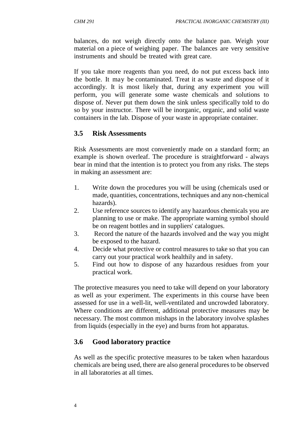balances, do not weigh directly onto the balance pan. Weigh your material on a piece of weighing paper. The balances are very sensitive instruments and should be treated with great care.

If you take more reagents than you need, do not put excess back into the bottle. It may be contaminated. Treat it as waste and dispose of it accordingly. It is most likely that, during any experiment you will perform, you will generate some waste chemicals and solutions to dispose of. Never put them down the sink unless specifically told to do so by your instructor. There will be inorganic, organic, and solid waste containers in the lab. Dispose of your waste in appropriate container.

#### **3.5 Risk Assessments**

Risk Assessments are most conveniently made on a standard form; an example is shown overleaf. The procedure is straightforward - always bear in mind that the intention is to protect you from any risks. The steps in making an assessment are:

- 1. Write down the procedures you will be using (chemicals used or made, quantities, concentrations, techniques and any non-chemical hazards).
- 2. Use reference sources to identify any hazardous chemicals you are planning to use or make. The appropriate warning symbol should be on reagent bottles and in suppliers' catalogues.
- 3. Record the nature of the hazards involved and the way you might be exposed to the hazard.
- 4. Decide what protective or control measures to take so that you can carry out your practical work healthily and in safety.
- 5. Find out how to dispose of any hazardous residues from your practical work.

The protective measures you need to take will depend on your laboratory as well as your experiment. The experiments in this course have been assessed for use in a well-lit, well-ventilated and uncrowded laboratory. Where conditions are different, additional protective measures may be necessary. The most common mishaps in the laboratory involve splashes from liquids (especially in the eye) and burns from hot apparatus.

#### **3.6 Good laboratory practice**

As well as the specific protective measures to be taken when hazardous chemicals are being used, there are also general procedures to be observed in all laboratories at all times.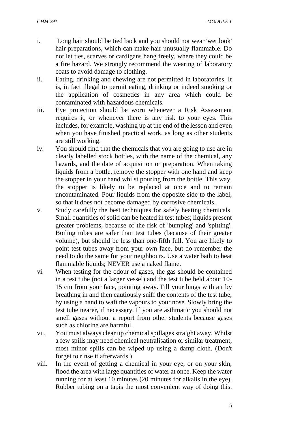- i. Long hair should be tied back and you should not wear 'wet look' hair preparations, which can make hair unusually flammable. Do not let ties, scarves or cardigans hang freely, where they could be a fire hazard. We strongly recommend the wearing of laboratory coats to avoid damage to clothing.
- ii. Eating, drinking and chewing are not permitted in laboratories. It is, in fact illegal to permit eating, drinking or indeed smoking or the application of cosmetics in any area which could be contaminated with hazardous chemicals.
- iii. Eye protection should be worn whenever a Risk Assessment requires it, or whenever there is any risk to your eyes. This includes, for example, washing up at the end of the lesson and even when you have finished practical work, as long as other students are still working.
- iv. You should find that the chemicals that you are going to use are in clearly labelled stock bottles, with the name of the chemical, any hazards, and the date of acquisition or preparation. When taking liquids from a bottle, remove the stopper with one hand and keep the stopper in your hand whilst pouring from the bottle. This way, the stopper is likely to be replaced at once and to remain uncontaminated. Pour liquids from the opposite side to the label, so that it does not become damaged by corrosive chemicals.
- v. Study carefully the best techniques for safely heating chemicals. Small quantities of solid can be heated in test tubes; liquids present greater problems, because of the risk of 'bumping' and 'spitting'. Boiling tubes are safer than test tubes (because of their greater volume), but should be less than one-fifth full. You are likely to point test tubes away from your own face, but do remember the need to do the same for your neighbours. Use a water bath to heat flammable liquids; NEVER use a naked flame.
- vi. When testing for the odour of gases, the gas should be contained in a test tube (not a larger vessel) and the test tube held about 10- 15 cm from your face, pointing away. Fill your lungs with air by breathing in and then cautiously sniff the contents of the test tube, by using a hand to waft the vapours to your nose. Slowly bring the test tube nearer, if necessary. If you are asthmatic you should not smell gases without a report from other students because gases such as chlorine are harmful.
- vii. You must always clear up chemical spillages straight away. Whilst a few spills may need chemical neutralisation or similar treatment, most minor spills can be wiped up using a damp cloth. (Don't forget to rinse it afterwards.)
- viii. In the event of getting a chemical in your eye, or on your skin, flood the area with large quantities of water at once. Keep the water running for at least 10 minutes (20 minutes for alkalis in the eye). Rubber tubing on a tapis the most convenient way of doing this.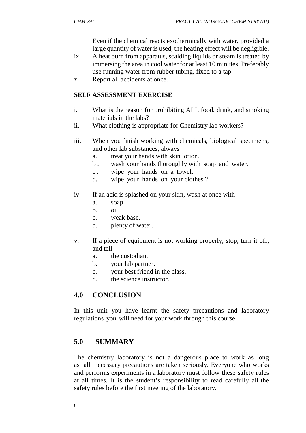Even if the chemical reacts exothermically with water, provided a large quantity of water is used, the heating effect will be negligible.

- ix. A heat burn from apparatus, scalding liquids or steam is treated by immersing the area in cool water for at least 10 minutes. Preferably use running water from rubber tubing, fixed to a tap.
- x. Report all accidents at once.

#### **SELF ASSESSMENT EXERCISE**

- i. What is the reason for prohibiting ALL food, drink, and smoking materials in the labs?
- ii. What clothing is appropriate for Chemistry lab workers?
- iii. When you finish working with chemicals, biological specimens, and other lab substances, always What clothing is appropriate for Chemistry lab workers?<br>When you finish working with chemicals, biological specime<br>and other lab substances, always<br>a. treat your hands with skin lotion.<br>b. wash your hands thoroughly with s
	- a. treat your hands with skin lotion.
	-
	-
	- d. wipe your hands on your clothes.?
- iv. If an acid is splashed on your skin, wash at once with
	- a. soap.
	- b. oil.
	- c. weak base.
	- d. plenty of water.
- v. If a piece of equipment is not working properly, stop, turn it off, and tell
	- a. the custodian.
	- b. your lab partner.
	- c. your best friend in the class.
	- d. the science instructor.

# **4.0 CONCLUSION**

In this unit you have learnt the safety precautions and laboratory regulations you will need for your work through this course.

# **5.0 SUMMARY**

The chemistry laboratory is not a dangerous place to work as long as all necessary precautions are taken seriously. Everyone who works and performs experiments in a laboratory must follow these safety rules at all times. It is the student's responsibility to read carefully all the safety rules before the first meeting of the laboratory.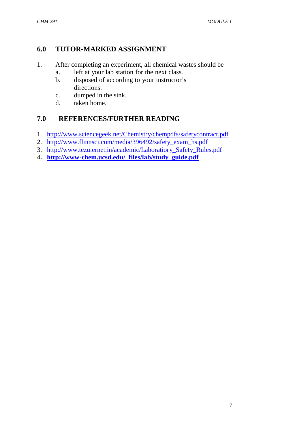# **6.0 TUTOR-MARKED ASSIGNMENT**

- 1. After completing an experiment, all chemical wastes should be
	- a. left at your lab station for the next class.
	- b. disposed of according to your instructor's directions.
	- c. dumped in the sink.
	- d. taken home.

# **7.0 REFERENCES/FURTHER READING**

- 1. http://www.sciencegeek.net/Chemistry/chempdfs/safetycontract.pdf
- 2. http://www.flinnsci.com/media/396492/safety\_exam\_hs.pdf
- 3. http://www.tezu.ernet.in/academic/Laboratiory\_Safety\_Rules.pdf
- 4**. http://www-chem.ucsd.edu/\_files/lab/study\_guide.pdf**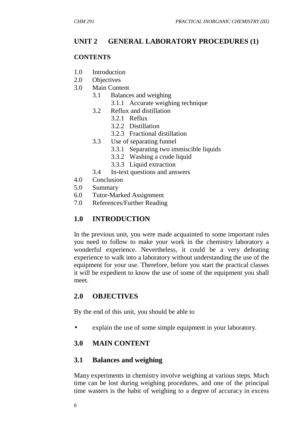#### **UNIT 2 GENERAL LABORATORY PROCEDURES (1)**

#### **CONTENTS**

- 1.0 Introduction
- 2.0 Objectives
- 3.0 Main Content
	- 3.1 Balances and weighing
		- 3.1.1 Accurate weighing technique
	- 3.2 Reflux and distillation
		- 3.2.1 Reflux
		- 3.2.2 Distillation
		- 3.2.3 Fractional distillation
	- 3.3 Use of separating funnel
		- 3.3.1 Separating two immiscible liquids
		- 3.3.2 Washing a crude liquid
		- 3.3.3 Liquid extraction
	- 3.4 In-text questions and answers
- 4.0 Conclusion
- 5.0 Summary
- 6.0 Tutor-Marked Assignment
- 7.0 References/Further Reading

# **1.0 INTRODUCTION**

In the previous unit, you were made acquainted to some important rules you need to follow to make your work in the chemistry laboratory a wonderful experience. Nevertheless, it could be a very defeating experience to walk into a laboratory without understanding the use of the equipment for your use. Therefore, before you start the practical classes it will be expedient to know the use of some of the equipment you shall meet.

#### **2.0 OBJECTIVES**

By the end of this unit, you should be able to

explain the use of some simple equipment in your laboratory.

# **3.0 MAIN CONTENT**

#### **3.1 Balances and weighing**

Many experiments in chemistry involve weighing at various steps. Much time can be lost during weighing procedures, and one of the principal time wasters is the habit of weighing to a degree of accuracy in excess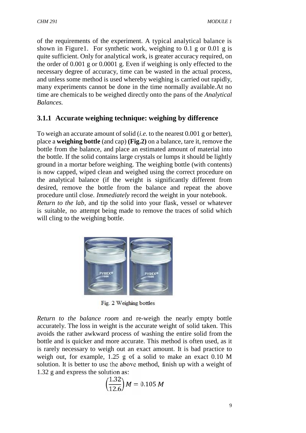of the requirements of the experiment. A typical analytical balance is shown in Figure1. For synthetic work, weighing to 0.1 g or 0.01 g is quite sufficient. Only for analytical work, is greater accuracy required, on the order of 0.001 g or 0.0001 g. Even if weighing is only effected to the necessary degree of accuracy, time can be wasted in the actual process, and unless some method is used whereby weighing is carried out rapidly, many experiments cannot be done in the time normally available.At no time are chemicals to be weighed directly onto the pans of the *Analytical Balances.*

#### **3.1.1 Accurate weighing technique: weighing by difference**

To weigh an accurate amount of solid (*i.e.* to the nearest 0.001 g or better), place a **weighing bottle** (and cap) **(Fig.2)** on a balance, tare it, remove the bottle from the balance, and place an estimated amount of material into the bottle. If the solid contains large crystals or lumps it should be lightly ground in a mortar before weighing. The weighing bottle (with contents) is now capped, wiped clean and weighed using the correct procedure on the analytical balance (if the weight is significantly different from desired, remove the bottle from the balance and repeat the above procedure until close. *Immediately* record the weight in your notebook. *Return to the lab,* and tip the solid into your flask, vessel or whatever is suitable, no attempt being made to remove the traces of solid which will cling to the weighing bottle.



Fig. 2 Weighing bottles

*Return to the balance room* and re-weigh the nearly empty bottle accurately. The loss in weight is the accurate weight of solid taken. This avoids the rather awkward process of washing the entire solid from the bottle and is quicker and more accurate. This method is often used, as it is rarely necessary to weigh out an exact amount. It is bad practice to weigh out, for example, 1.25 g of a solid to make an exact 0.10 M solution. It is better to use the above method, finish up with a weight of 1.32 g and express the solution as:

$$
\left(\frac{1.32}{12.6}\right)M = 0.105 M
$$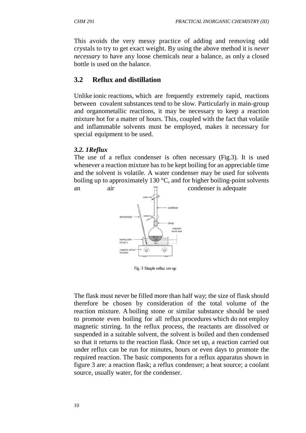This avoids the very messy practice of adding and removing odd crystals to try to get exact weight. By using the above method it is *never necessary* to have any loose chemicals near a balance, as only a closed bottle is used on the balance.

#### **3.2 Reflux and distillation**

Unlike ionic reactions, which are frequently extremely rapid, reactions between covalent substances tend to be slow. Particularly in main-group and organometallic reactions, it may be necessary to keep a reaction mixture hot for a matter of hours. This, coupled with the fact that volatile and inflammable solvents must be employed, makes it necessary for special equipment to be used.

#### *3.2. 1Reflux*

The use of a reflux condenser is often necessary (Fig.3). It is used whenever a reaction mixture has to be kept boiling for an appreciable time and the solvent is volatile. A water condenser may be used for solvents boiling up to approximately 130  $\degree$ C, and for higher boiling-point solvents an air  $\Box$  condenser is adequate



Fig. 3 Simple reflux set-up

The flask must never be filled more than half way; the size of flask should therefore be chosen by consideration of the total volume of the reaction mixture. A boiling stone or similar substance should be used to promote even boiling for all reflux procedures which do not employ magnetic stirring. In the reflux process, the reactants are dissolved or suspended in a suitable solvent, the solvent is boiled and then condensed so that it returns to the reaction flask. Once set up, a reaction carried out under reflux can be run for minutes, hours or even days to promote the required reaction. The basic components for a reflux apparatus shown in figure 3 are: a reaction flask; a reflux condenser; a heat source; a coolant source, usually water, for the condenser.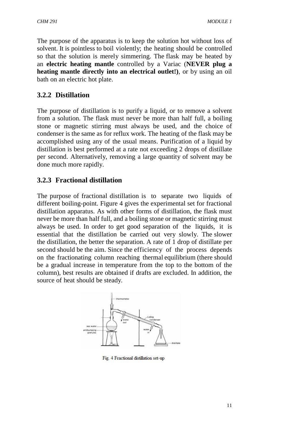The purpose of the apparatus is to keep the solution hot without loss of solvent. It is pointless to boil violently; the heating should be controlled so that the solution is merely simmering. The flask may be heated by an **electric heating mantle** controlled by a Variac (**NEVER plug a heating mantle directly into an electrical outlet!)**, or by using an oil bath on an electric hot plate.

#### **3.2.2 Distillation**

The purpose of distillation is to purify a liquid, or to remove a solvent from a solution. The flask must never be more than half full, a boiling stone or magnetic stirring must always be used, and the choice of condenser is the same as for reflux work. The heating of the flask may be accomplished using any of the usual means. Purification of a liquid by distillation is best performed at a rate not exceeding 2 drops of distillate per second. Alternatively, removing a large quantity of solvent may be done much more rapidly.

#### **3.2.3 Fractional distillation**

The purpose of fractional distillation is to separate two liquids of different boiling-point. Figure 4 gives the experimental set for fractional distillation apparatus. As with other forms of distillation, the flask must never be more than half full, and a boiling stone or magnetic stirring must always be used. In order to get good separation of the liquids, it is essential that the distillation be carried out very slowly. The slower the distillation, the better the separation. A rate of 1 drop of distillate per second should be the aim. Since the efficiency of the process depends on the fractionating column reaching thermal equilibrium (there should be a gradual increase in temperature from the top to the bottom of the column), best results are obtained if drafts are excluded. In addition, the source of heat should be steady.



Fig. 4 Fractional distillation set-up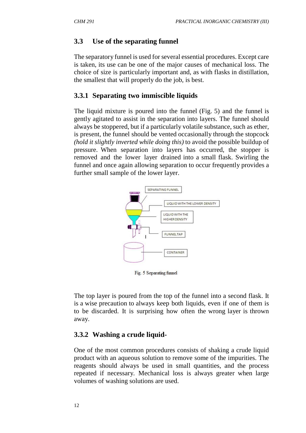#### **3.3 Use of the separating funnel**

The separatory funnel is used for several essential procedures. Except care is taken, its use can be one of the major causes of mechanical loss. The choice of size is particularly important and, as with flasks in distillation, the smallest that will properly do the job, is best.

#### **3.3.1 Separating two immiscible liquids**

The liquid mixture is poured into the funnel (Fig. 5) and the funnel is gently agitated to assist in the separation into layers. The funnel should always be stoppered, but if a particularly volatile substance, such as ether, is present, the funnel should be vented occasionally through the stopcock *(hold it slightly inverted while doing this)* to avoid the possible buildup of pressure. When separation into layers has occurred, the stopper is removed and the lower layer drained into a small flask. Swirling the funnel and once again allowing separation to occur frequently provides a further small sample of the lower layer.



Fig. 5 Separating funnel

The top layer is poured from the top of the funnel into a second flask. It is a wise precaution to always keep both liquids, even if one of them is to be discarded. It is surprising how often the wrong layer is thrown away.

# **3.3.2 Washing a crude liquid-**

One of the most common procedures consists of shaking a crude liquid product with an aqueous solution to remove some of the impurities. The reagents should always be used in small quantities, and the process repeated if necessary. Mechanical loss is always greater when large volumes of washing solutions are used.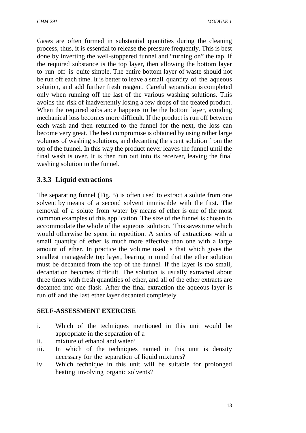Gases are often formed in substantial quantities during the cleaning process, thus, it is essential to release the pressure frequently. This is best done by inverting the well-stoppered funnel and "turning on" the tap. If the required substance is the top layer, then allowing the bottom layer to run off is quite simple. The entire bottom layer of waste should not be run off each time. It is better to leave a small quantity of the aqueous solution, and add further fresh reagent. Careful separation is completed only when running off the last of the various washing solutions. This avoids the risk of inadvertently losing a few drops of the treated product. When the required substance happens to be the bottom layer, avoiding mechanical loss becomes more difficult. If the product is run off between each wash and then returned to the funnel for the next, the loss can become very great. The best compromise is obtained by using rather large volumes of washing solutions, and decanting the spent solution from the top of the funnel. In this way the product never leaves the funnel until the final wash is over. It is then run out into its receiver, leaving the final washing solution in the funnel.

#### **3.3.3 Liquid extractions**

The separating funnel (Fig. 5) is often used to extract a solute from one solvent by means of a second solvent immiscible with the first. The removal of a solute from water by means of ether is one of the most common examples of this application. The size of the funnel is chosen to accommodate the whole of the aqueous solution. This savestime which would otherwise be spent in repetition. A series of extractions with a small quantity of ether is much more effective than one with a large amount of ether. In practice the volume used is that which gives the smallest manageable top layer, bearing in mind that the ether solution must be decanted from the top of the funnel. If the layer is too small, decantation becomes difficult. The solution is usually extracted about three times with fresh quantities of ether, and all of the ether extracts are decanted into one flask. After the final extraction the aqueous layer is run off and the last ether layer decanted completely

#### **SELF-ASSESSMENT EXERCISE**

- i. Which of the techniques mentioned in this unit would be appropriate in the separation of a
- ii. mixture of ethanol and water?
- iii. In which of the techniques named in this unit is density necessary for the separation of liquid mixtures?
- iv. Which technique in this unit will be suitable for prolonged heating involving organic solvents?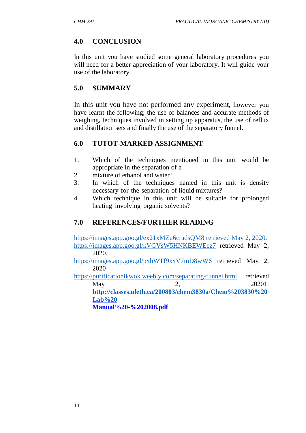#### **4.0 CONCLUSION**

In this unit you have studied some general laboratory procedures you will need for a better appreciation of your laboratory. It will guide your use of the laboratory.

#### **5.0 SUMMARY**

In this unit you have not performed any experiment, however you have learnt the following; the use of balances and accurate methods of weighing, techniques involved in setting up apparatus, the use of reflux and distillation sets and finally the use of the separatory funnel.

#### **6.0 TUTOT-MARKED ASSIGNMENT**

- 1. Which of the techniques mentioned in this unit would be appropriate in the separation of a
- 2. mixture of ethanol and water?
- 3. In which of the techniques named in this unit is density necessary for the separation of liquid mixtures?
- 4. Which technique in this unit will be suitable for prolonged heating involving organic solvents?

# **7.0 REFERENCES/FURTHER READING**

https://images.app.goo.gl/ex21xMZu6cradsQM8 retrieved May 2, 2020. https://images.app.goo.gl/kVGVsW5HNKBEWEez7 retrieved May 2, 2020. https://images.app.goo.gl/pxhWTf9xxV7mD8wW6 retrieved May 2, 2020 https://purificationikwok.weebly.com/separating-funnel.html retrieved May 2, 2020<u>1.</u> **http://classes.uleth.ca/200803/chem3830a/Chem%203830%20 Lab%20 Manual%20-%202008.pdf**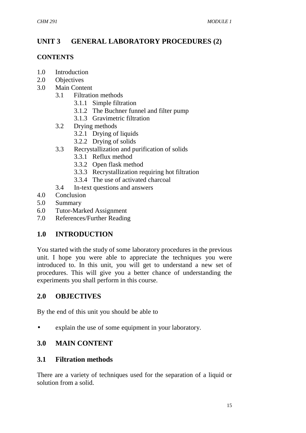# **UNIT 3 GENERAL LABORATORY PROCEDURES (2)**

#### **CONTENTS**

- 1.0 Introduction
- 2.0 Objectives
- 3.0 Main Content
	- 3.1 Filtration methods
		- 3.1.1 Simple filtration
		- 3.1.2 The Buchner funnel and filter pump
		- 3.1.3 Gravimetric filtration
	- 3.2 Drying methods
		- 3.2.1 Drying of liquids
		- 3.2.2 Drying of solids
	- 3.3 Recrystallization and purification of solids
		- 3.3.1 Reflux method
		- 3.3.2 Open flask method
		- 3.3.3 Recrystallization requiring hot filtration
		- 3.3.4 The use of activated charcoal
	- 3.4 In-text questions and answers
- 4.0 Conclusion
- 5.0 Summary
- 6.0 Tutor-Marked Assignment
- 7.0 References/Further Reading

# **1.0 INTRODUCTION**

You started with the study of some laboratory procedures in the previous unit. I hope you were able to appreciate the techniques you were introduced to. In this unit, you will get to understand a new set of procedures. This will give you a better chance of understanding the experiments you shall perform in this course.

# **2.0 OBJECTIVES**

By the end of this unit you should be able to

explain the use of some equipment in your laboratory.

# **3.0 MAIN CONTENT**

#### **3.1 Filtration methods**

There are a variety of techniques used for the separation of a liquid or solution from a solid.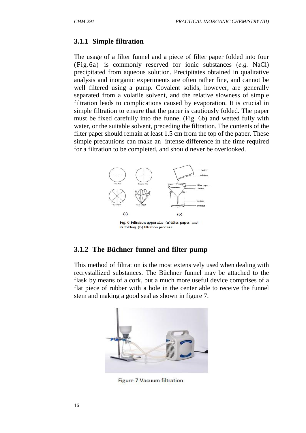#### **3.1.1 Simple filtration**

The usage of a filter funnel and a piece of filter paper folded into four (Fig.6a) is commonly reserved for ionic substances (*e.g.* NaCl) precipitated from aqueous solution. Precipitates obtained in qualitative analysis and inorganic experiments are often rather fine, and cannot be well filtered using a pump. Covalent solids, however, are generally separated from a volatile solvent, and the relative slowness of simple filtration leads to complications caused by evaporation. It is crucial in simple filtration to ensure that the paper is cautiously folded. The paper must be fixed carefully into the funnel (Fig. 6b) and wetted fully with water, or the suitable solvent, preceding the filtration. The contents of the filter paper should remain at least 1.5 cm from the top of the paper. These simple precautions can make an intense difference in the time required for a filtration to be completed, and should never be overlooked.



#### **3.1.2 The Büchner funnel and filter pump**

This method of filtration is the most extensively used when dealing with recrystallized substances. The Büchner funnel may be attached to the flask by means of a cork, but a much more useful device comprises of a flat piece of rubber with a hole in the center able to receive the funnel stem and making a good seal as shown in figure 7.



Figure 7 Vacuum filtration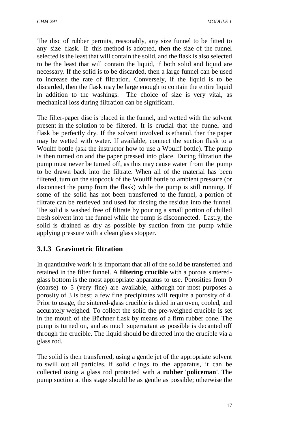The disc of rubber permits, reasonably, any size funnel to be fitted to any size flask. If this method is adopted, then the size of the funnel selected is the least that will contain the solid, and the flask is also selected to be the least that will contain the liquid, if both solid and liquid are necessary. If the solid is to be discarded, then a large funnel can be used to increase the rate of filtration. Conversely, if the liquid is to be discarded, then the flask may be large enough to contain the entire liquid in addition to the washings. The choice of size is very vital, as mechanical loss during filtration can be significant.

The filter-paper disc is placed in the funnel, and wetted with the solvent present in the solution to be filtered. It is crucial that the funnel and flask be perfectly dry. If the solvent involved is ethanol, then the paper may be wetted with water. If available, connect the suction flask to a Woulff bottle (ask the instructor how to use a Woulff bottle). The pump is then turned on and the paper pressed into place. During filtration the pump must never be turned off, as this may cause water from the pump to be drawn back into the filtrate. When all of the material has been filtered, turn on the stopcock of the Woulff bottle to ambient pressure (or disconnect the pump from the flask) while the pump is still running. If some of the solid has not been transferred to the funnel, a portion of filtrate can be retrieved and used for rinsing the residue into the funnel. The solid is washed free of filtrate by pouring a small portion of chilled fresh solvent into the funnel while the pump is disconnected. Lastly, the solid is drained as dry as possible by suction from the pump while applying pressure with a clean glass stopper.

# **3.1.3 Gravimetric filtration**

In quantitative work it is important that all of the solid be transferred and retained in the filter funnel. A **filtering crucible** with a porous sintered glass bottom is themost appropriate apparatus to use. Porosities from 0 (coarse) to 5 (very fine) are available, although for most purposes a porosity of 3 is best; a few fine precipitates will require a porosity of 4. Prior to usage, the sintered-glass crucible is dried in an oven, cooled, and accurately weighed. To collect the solid the pre-weighed crucible is set in the mouth of the Büchner flask by means of a firm rubber cone. The pump is turned on, and as much supernatant as possible is decanted off through the crucible. The liquid should be directed into the crucible via a glass rod.

The solid is then transferred, using a gentle jet of the appropriate solvent to swill out all particles. If solid clings to the apparatus, it can be collected using a glass rod protected with a **rubber 'policeman'**. The pump suction at this stage should be as gentle as possible; otherwise the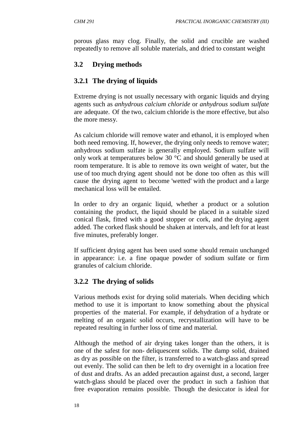porous glass may clog. Finally, the solid and crucible are washed repeatedly to remove all soluble materials, and dried to constant weight

# **3.2 Drying methods**

#### **3.2.1 The drying of liquids**

Extreme drying is not usually necessary with organic liquids and drying agents such as *anhydrous calcium chloride* or *anhydrous sodium sulfate* are adequate. Of the two, calcium chloride is the more effective, but also the more messy.

As calcium chloride will remove water and ethanol, it is employed when both need removing. If, however, the drying only needs to remove water; anhydrous sodium sulfate is generally employed. Sodium sulfate will only work at temperatures below 30 °C and should generally be used at room temperature. It is able to remove its own weight of water, but the use of too much drying agent should not be done too often as this will cause the drying agent to become 'wetted' with the product and a large mechanical loss will be entailed.

In order to dry an organic liquid, whether a product or a solution containing the product, the liquid should be placed in a suitable sized conical flask, fitted with a good stopper or cork, and the drying agent added. The corked flask should be shaken at intervals, and left for at least five minutes, preferably longer.

If sufficient drying agent has been used some should remain unchanged in appearance: i.e. a fine opaque powder of sodium sulfate or firm granules of calcium chloride.

#### **3.2.2 The drying of solids**

Various methods exist for drying solid materials. When deciding which method to use it is important to know something about the physical properties of the material. For example, if dehydration of a hydrate or melting of an organic solid occurs, recrystallization will have to be repeated resulting in further loss of time and material.

Although the method of air drying takes longer than the others, it is one of the safest for non- deliquescent solids. The damp solid, drained as dry as possible on the filter, is transferred to a watch-glass and spread out evenly. The solid can then be left to dry overnight in a location free of dust and drafts. As an added precaution against dust, a second, larger watch-glass should be placed over the product in such a fashion that free evaporation remains possible. Though the desiccator is ideal for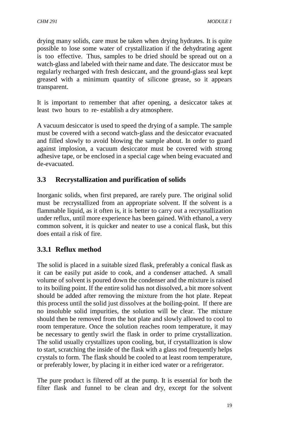drying many solids, care must be taken when drying hydrates. It is quite possible to lose some water of crystallization if the dehydrating agent is too effective. Thus, samples to be dried should be spread out on a watch-glass and labeled with their name and date. The desiccator must be regularly recharged with fresh desiccant, and the ground-glass seal kept greased with a minimum quantity of silicone grease, so it appears transparent.

It is important to remember that after opening, a desiccator takes at least two hours to re- establish a dry atmosphere.

A vacuum desiccator is used to speed the drying of a sample. The sample must be covered with a second watch-glass and the desiccator evacuated and filled slowly to avoid blowing the sample about. In order to guard against implosion, a vacuum desiccator must be covered with strong adhesive tape, or be enclosed in a special cage when being evacuated and de-evacuated.

# **3.3 Recrystallization and purification of solids**

Inorganic solids, when first prepared, are rarely pure. The original solid must be recrystallized from an appropriate solvent. If the solvent is a flammable liquid, as itoften is, it is better to carry out a recrystallization under reflux, until more experience has been gained. With ethanol, a very common solvent, it is quicker and neater to use a conical flask, but this does entail a risk of fire.

# **3.3.1 Reflux method**

The solid is placed in a suitable sized flask, preferably a conical flask as it can be easily put aside to cook, and a condenser attached. A small volume of solvent is poured down the condenser and the mixture is raised to its boiling point. If the entire solid has not dissolved, a bit more solvent should be added after removing the mixture from the hot plate. Repeat this process until the solid just dissolves at the boiling-point. If there are no insoluble solid impurities, the solution will be clear. The mixture should then be removed from the hot plate and slowly allowed to cool to room temperature. Once the solution reaches room temperature, it may be necessary to gently swirl the flask in order to prime crystallization. The solid usually crystallizes upon cooling, but, if crystallization is slow to start, scratching the inside of the flask with a glass rod frequently helps crystals to form. The flask should be cooled to at least room temperature, or preferably lower, by placing it in either iced water or a refrigerator.

The pure product is filtered off at the pump. It is essential for both the filter flask and funnel to be clean and dry, except for the solvent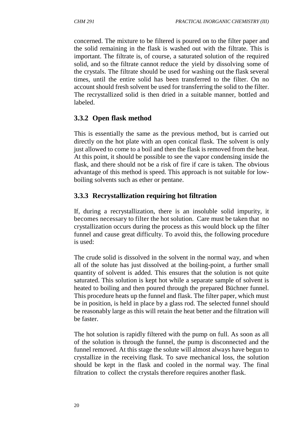concerned. The mixture to be filtered is poured on to the filter paper and the solid remaining in the flask is washed out with the filtrate. This is important. The filtrate is, of course, a saturated solution of the required solid, and so the filtrate cannot reduce the yield by dissolving some of the crystals. The filtrate should be used for washing out the flask several times, until the entire solid has been transferred to the filter. On no account should fresh solvent be used for transferring the solid to the filter. The recrystallized solid is then dried in a suitable manner, bottled and labeled.

#### **3.3.2 Open flask method**

This is essentially the same as the previous method, but is carried out directly on the hot plate with an open conical flask. The solvent is only just allowed to come to a boil and then the flask is removed from the heat. At this point, it should be possible to see the vapor condensing inside the flask, and there should not be a risk of fire if care is taken. The obvious advantage of this method is speed. This approach is not suitable for low boiling solvents such as ether or pentane.

#### **3.3.3 Recrystallization requiring hot filtration**

If, during a recrystallization, there is an insoluble solid impurity, it becomes necessary to filter the hot solution. Care must be taken that no crystallization occurs during the process as this would block up the filter funnel and cause great difficulty. To avoid this, the following procedure is used:

The crude solid is dissolved in the solvent in the normal way, and when all of the solute has just dissolved at the boiling-point, a further small quantity of solvent is added. This ensures that the solution is not quite saturated. This solution is kept hot while a separate sample of solvent is heated to boiling and then poured through the prepared Büchner funnel. This procedure heats up the funnel and flask. The filter paper, which must be in position, is held in place by a glass rod. The selected funnel should be reasonably large as this will retain the heat better and the filtration will be faster.

The hot solution is rapidly filtered with the pump on full. As soon as all of the solution is through the funnel, the pump is disconnected and the funnel removed. At this stage the solute will almost always have begun to crystallize in the receiving flask. To save mechanical loss, the solution should be kept in the flask and cooled in the normal way. The final filtration to collect the crystals therefore requires another flask.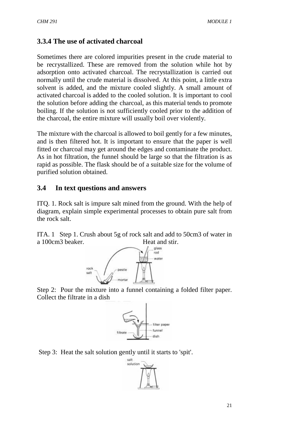#### **3.3.4 The use of activated charcoal**

Sometimes there are colored impurities present in the crude material to be recrystallized. These are removed from the solution while hot by adsorption onto activated charcoal. The recrystallization is carried out normally until the crude material is dissolved. At this point, a little extra solvent is added, and the mixture cooled slightly. A small amount of activated charcoal is added to the cooled solution. It is important to cool the solution before adding the charcoal, as this material tends to promote boiling. If the solution is not sufficiently cooled prior to the addition of the charcoal, the entire mixture will usually boil over violently.

The mixture with the charcoal is allowed to boil gently for a few minutes, and is then filtered hot. It is important to ensure that the paper is well fitted or charcoal may get around the edges and contaminate the product. As in hot filtration, the funnel should be large so that the filtration is as rapid as possible. The flask should be of a suitable size for the volume of purified solution obtained.

#### **3.4 In text questions and answers**

ITQ. 1. Rock salt is impure salt mined from the ground. With the help of diagram, explain simple experimental processes to obtain pure salt from the rock salt.

ITA. 1 Step 1. Crush about 5g of rock salt and add to 50cm3 of water in a 100cm3 beaker. Heat and stir.



Step 2: Pour the mixture into a funnel containing a folded filter paper. Collect the filtrate in a dish



Step 3: Heat the salt solution gently until it starts to 'spit'.

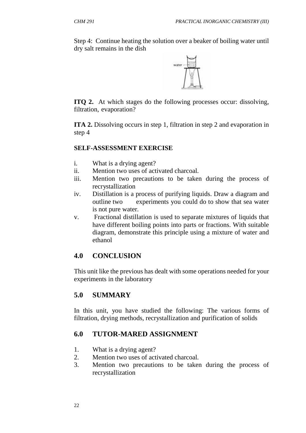Step 4: Continue heating the solution over a beaker of boiling water until dry salt remains in the dish



**ITQ 2.** At which stages do the following processes occur: dissolving, filtration, evaporation?

**ITA 2.** Dissolving occurs in step 1, filtration in step 2 and evaporation in step 4

#### **SELF-ASSESSMENT EXERCISE**

- i. What is a drying agent?
- ii. Mention two uses of activated charcoal.
- iii. Mention two precautions to be taken during the process of recrystallization
- iv. Distillation is a process of purifying liquids. Draw a diagram and outline two experiments you could do to show that sea water is not pure water.
- v. Fractional distillation is used to separate mixtures of liquids that have different boiling points into parts or fractions. With suitable diagram, demonstrate this principle using a mixture of water and ethanol

#### **4.0 CONCLUSION**

This unit like the previous has dealt with some operations needed for your experiments in the laboratory

#### **5.0 SUMMARY**

In this unit, you have studied the following: The various forms of filtration, drying methods, recrystallization and purification of solids

#### **6.0 TUTOR-MARED ASSIGNMENT**

- 1. What is a drying agent?
- 2. Mention two uses of activated charcoal.
- 3. Mention two precautions to be taken during the process of recrystallization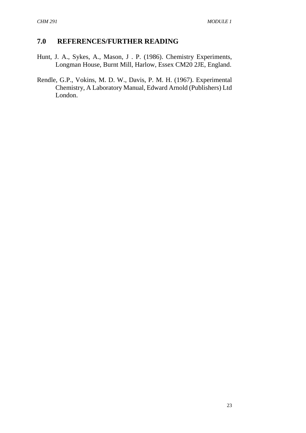# **7.0 REFERENCES/FURTHER READING**

- Hunt, J. A., Sykes, A., Mason, J . P. (1986). Chemistry Experiments, Longman House, Burnt Mill, Harlow, Essex CM20 2JE, England.
- Rendle, G.P., Vokins, M. D. W., Davis, P. M. H. (1967). Experimental Chemistry, A Laboratory Manual, Edward Arnold (Publishers) Ltd London.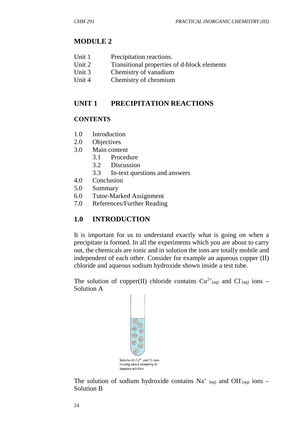#### **MODULE 2**

| Unit 1 | Precipitation reactions. |
|--------|--------------------------|
|--------|--------------------------|

- Unit 2 Transitional properties of d-block elements
- Unit 3 Chemistry of vanadium
- Unit 4 Chemistry of chromium

#### **UNIT 1 PRECIPITATION REACTIONS**

#### **CONTENTS**

- 1.0 Introduction
- 2.0 Objectives
- 3.0 Main content
	- 3.1 Procedure
	- 3.2 Discussion
	- 3.3 In-text questions and answers
- 4.0 Conclusion
- 5.0 Summary
- 6.0 Tutor-Marked Assignment
- 7.0 References/Further Reading

#### **1.0 INTRODUCTION**

It is important for us to understand exactly what is going on when a precipitate is formed. In all the experiments which you are about to carry out, the chemicals are ionic and in solution the ions are totally mobile and independent of each other. Consider for example an aqueous copper (II) chloride and aqueous sodium hydroxide shown inside a test tube.

The solution of copper(II) chloride contains  $Cu^{2+}$ <sub>(aq)</sub> and  $Cl^{-}$ <sub>(aq)</sub> ions – Solution A



The solution of sodium hydroxide contains  $Na<sup>+</sup>$  <sub>Iaq)</sub> and OH<sup>-</sup><sub>(aq)</sub> ions – Solution B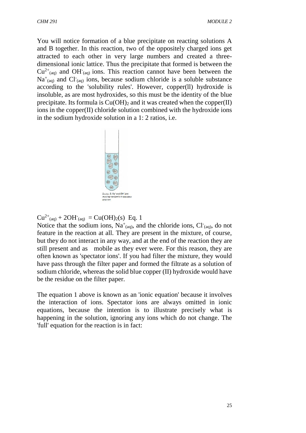You will notice formation of a blue precipitate on reacting solutions A and B together. In this reaction, two of the oppositely charged ions get attracted to each other in very large numbers and created a three dimensional ionic lattice. Thus the precipitate that formed is between the  $Cu^{2+}$ <sub>(aq)</sub> and OH<sup>-</sup><sub>(aq)</sub> ions. This reaction cannot have been between the  $Na<sup>+</sup>(aq)$  and Cl<sup>-</sup>(aq) ions, because sodium chloride is a soluble substance according to the 'solubility rules'. However, copper(ll) hydroxide is insoluble, as are most hydroxides, so this must be the identity of the blue precipitate. Its formula is  $Cu(OH)<sub>2</sub>$  and it was created when the copper(II) ions in the copper(II) chloride solution combined with the hydroxide ions in the sodium hydroxide solution in a 1: 2 ratios, i.e.



 $Cu^{2+}$ <sub>(aq)</sub> + 2OH<sup>-</sup><sub>(aq)</sub> = Cu(OH)<sub>2</sub>(s) Eq. 1

Notice that the sodium ions,  $Na<sup>+</sup>(aq)$ , and the chloride ions,  $Cl<sup>-</sup>(aq)$ , do not feature in the reaction at all. They are present in the mixture, of course, but they do not interact in any way, and at the end of the reaction they are still present and as mobile as they ever were. For this reason, they are often known as 'spectator ions'. If you had filter the mixture, they would have pass through the filter paper and formed the filtrate as a solution of sodium chloride, whereas the solid blue copper (II) hydroxide would have be the residue on the filter paper.

The equation 1 above is known as an 'ionic equation' because it involves the interaction of ions. Spectator ions are always omitted in ionic equations, because the intention is to illustrate precisely what is happening in the solution, ignoring any ions which do not change. The 'full' equation for the reaction is in fact: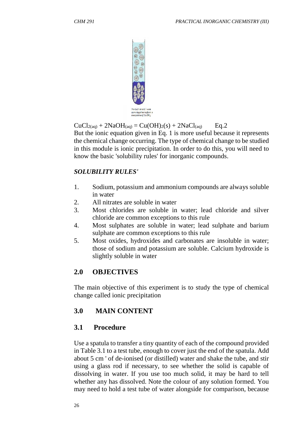

 $CuCl<sub>2(aq)</sub> + 2NaOH<sub>(aq)</sub> = Cu(OH)<sub>2</sub>(s) + 2NaCl<sub>(aq)</sub>$  Eq.2 But the ionic equation given in Eq. 1 is more useful because it represents the chemical change occurring. The type of chemical change to be studied in this module is ionic precipitation. In order to do this, you will need to know the basic 'solubility rules' for inorganic compounds.

#### *SOLUBILITY RULES'*

- 1. Sodium, potassium and ammonium compounds are always soluble in water
- 2. All nitrates are soluble in water
- 3. Most chlorides are soluble in water; lead chloride and silver chloride are common exceptions to this rule
- 4. Most sulphates are soluble in water; lead sulphate and barium sulphate are common exceptions to this rule
- 5. Most oxides, hydroxides and carbonates are insoluble in water; those of sodium and potassium are soluble. Calcium hydroxide is slightly soluble in water

# **2.0 OBJECTIVES**

The main objective of this experiment is to study the type of chemical change called ionic precipitation

# **3.0 MAIN CONTENT**

#### **3.1 Procedure**

Use a spatula to transfer a tiny quantity of each of the compound provided in Table 3.1 to a test tube, enough to cover just the end of the spatula. Add about 5 cm ' of de-ionised (or distilled) water and shake the tube, and stir using a glass rod if necessary, to see whether the solid is capable of dissolving in water. If you use too much solid, it may be hard to tell whether any has dissolved. Note the colour of any solution formed. You may need to hold a test tube of water alongside for comparison, because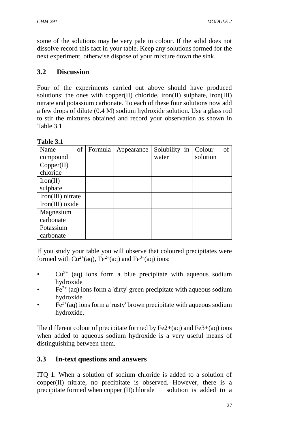some of the solutions may be very pale in colour. If the solid does not dissolve record this fact in your table. Keep any solutions formed for the next experiment, otherwise dispose of your mixture down the sink.

#### **3.2 Discussion**

Four of the experiments carried out above should have produced solutions: the ones with copper(II) chloride, iron(II) sulphate, iron(III) nitrate and potassium carbonate. To each of these four solutions now add a few drops of dilute (0.4 M) sodium hydroxide solution. Use a glass rod to stir the mixtures obtained and record your observation as shown in Table 3.1

| of<br>Name        | Formula | Appearance | Solubility in | of<br>Colour |  |
|-------------------|---------|------------|---------------|--------------|--|
| compound          |         |            | water         | solution     |  |
| Copper(II)        |         |            |               |              |  |
| chloride          |         |            |               |              |  |
| Iron(II)          |         |            |               |              |  |
| sulphate          |         |            |               |              |  |
| Iron(III) nitrate |         |            |               |              |  |
| Iron(III) oxide   |         |            |               |              |  |
| Magnesium         |         |            |               |              |  |
| carbonate         |         |            |               |              |  |
| Potassium         |         |            |               |              |  |
| carbonate         |         |            |               |              |  |

**Table 3.1**

If you study your table you will observe that coloured precipitates were formed with  $Cu^{2+}(aq)$ ,  $Fe^{2+}(aq)$  and  $Fe^{3+}(aq)$  ions:

- $Cu^{2+}$  (aq) ions form a blue precipitate with aqueous sodium hydroxide
- $Fe<sup>2+</sup>$  (aq) ions form a 'dirty' green precipitate with aqueous sodium hydroxide
- $Fe<sup>3+</sup>(aq)$  ions form a 'rusty' brown precipitate with aqueous sodium hydroxide.

The different colour of precipitate formed by  $Fe2+(aq)$  and  $Fe3+(aq)$  ions when added to aqueous sodium hydroxide is a very useful means of distinguishing between them.

# **3.3 In-text questions and answers**

ITQ 1. When a solution of sodium chloride is added to a solution of copper(II) nitrate, no precipitate is observed. However, there is a precipitate formed when copper (II)chloride solution is added to a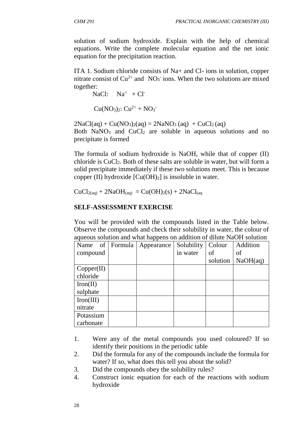solution of sodium hydroxide. Explain with the help of chemical equations. Write the complete molecular equation and the net ionic equation for the precipitation reaction.

ITA 1. Sodium chloride consists of Na+ and Cl- ions in solution, copper nitrate consist of  $Cu^{2+}$  and  $NO_3^-$  ions. When the two solutions are mixed together:

NaCl:  $Na^+ + Cl^-$ 

 $Cu(NO_3)_2$ :  $Cu^{2+} + NO_3$ 

 $2NaCl(aq) + Cu(NO<sub>3</sub>)<sub>2</sub>(aq) = 2NaNO<sub>3</sub>(aq) + CuCl<sub>2</sub>(aq)$ Both  $NaNO<sub>3</sub>$  and  $CuCl<sub>2</sub>$  are soluble in aqueous solutions and no precipitate is formed

The formula of sodium hydroxide is NaOH, while that of copper (II) chloride is  $CuCl<sub>2</sub>$ . Both of these salts are soluble in water, but will form a solid precipitate immediately if these two solutions meet. This is because copper (II) hydroxide  $[Cu(OH)_2]$  is insoluble in water.

 $CuCl<sub>2(aq)</sub> + 2NaOH<sub>(aq)</sub> = Cu(OH)<sub>2</sub>(s) + 2NaCl<sub>(aq)</sub>$ 

#### **SELF-ASSESSMENT EXERCISE**

You will be provided with the compounds listed in the Table below. Observe the compounds and check their solubility in water, the colour of aqueous solution and what happens on addition of dilute NaOH solution

| Name of Formula | Appearance | Solubility | Colour   | Addition |
|-----------------|------------|------------|----------|----------|
| compound        |            | in water   | of       | of       |
|                 |            |            | solution | NaOH(aq) |
| Copper(II)      |            |            |          |          |
| chloride        |            |            |          |          |
| Iron(II)        |            |            |          |          |
| sulphate        |            |            |          |          |
| Iron(III)       |            |            |          |          |
| nitrate         |            |            |          |          |
| Potassium       |            |            |          |          |
| carbonate       |            |            |          |          |

- 1. Were any of the metal compounds you used coloured? If so identify their positions in the periodic table
- 2. Did the formula for any of the compounds include the formula for water? If so, what does this tell you about the solid?
- 3. Did the compounds obey the solubility rules?
- 4. Construct ionic equation for each of the reactions with sodium hydroxide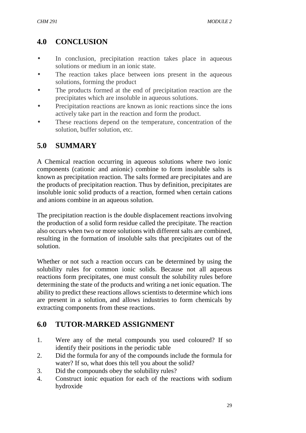# **4.0 CONCLUSION**

- In conclusion, precipitation reaction takes place in aqueous solutions or medium in an ionic state.
- The reaction takes place between ions present in the aqueous solutions, forming the product
- The products formed at the end of precipitation reaction are the precipitates which are insoluble in aqueous solutions.
- Precipitation reactions are known as ionic reactions since the ions actively take part in the reaction and form the product.
- These reactions depend on the temperature, concentration of the solution, buffer solution, etc.

# **5.0 SUMMARY**

A Chemical reaction occurring in aqueous solutions where two ionic components (cationic and anionic) combine to form insoluble salts is known as precipitation reaction. The salts formed are precipitates and are the products of precipitation reaction. Thus by definition, precipitates are insoluble ionic solid products of a reaction, formed when certain cations and anions combine in an aqueous solution.

The precipitation reaction is the double displacement reactions involving the production of a solid form residue called the precipitate. The reaction also occurs when two or more solutions with different salts are combined, resulting in the formation of insoluble salts that precipitates out of the solution.

Whether or not such a reaction occurs can be determined by using the solubility rules for common ionic solids. Because not all aqueous reactions form precipitates, one must consult the solubility rules before determining the state of the products and writing a net ionic equation. The ability to predict these reactions allows scientists to determine which ions are present in a solution, and allows industries to form chemicals by extracting components from these reactions.

# **6.0 TUTOR-MARKED ASSIGNMENT**

- 1. Were any of the metal compounds you used coloured? If so identify their positions in the periodic table
- 2. Did the formula for any of the compounds include the formula for water? If so, what does this tell you about the solid?
- 3. Did the compounds obey the solubility rules?
- 4. Construct ionic equation for each of the reactions with sodium hydroxide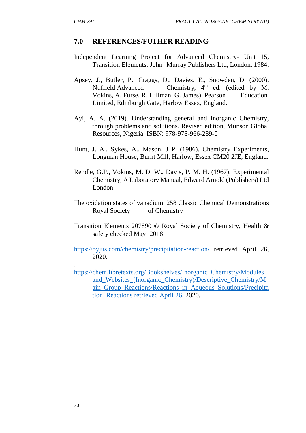#### **7.0 REFERENCES/FUTHER READING**

- Independent Learning Project for Advanced Chemistry- Unit 15, Transition Elements. John Murray Publishers Ltd, London. 1984.
- Apsey, J., Butler, P., Craggs, D., Davies, E., Snowden, D. (2000). Nuffield Advanced Chemistry, 4<sup>th</sup> ed. (edited by M. Vokins, A. Furse, R. Hillman, G. James), Pearson Education Limited, Edinburgh Gate, Harlow Essex, England.
- Ayi, A. A. (2019). Understanding general and Inorganic Chemistry, through problems and solutions. Revised edition, Munson Global Resources, Nigeria. ISBN: 978-978-966-289-0
- Hunt, J. A., Sykes, A., Mason, J P. (1986). Chemistry Experiments, Longman House, Burnt Mill, Harlow, Essex CM20 2JE, England.
- Rendle, G.P., Vokins, M. D. W., Davis, P. M. H. (1967). Experimental Chemistry, A Laboratory Manual, Edward Arnold (Publishers) Ltd London
- The oxidation states of vanadium. 258 Classic Chemical Demonstrations Royal Society of Chemistry
- Transition Elements 207890 © Royal Society of Chemistry, Health & safety checked May 2018
- https://byjus.com/chemistry/precipitation-reaction/ retrieved April 26, 2020.
- .https://chem.libretexts.org/Bookshelves/Inorganic\_Chemistry/Modules\_ and\_Websites\_(Inorganic\_Chemistry)/Descriptive\_Chemistry/M ain Group Reactions/Reactions in Aqueous Solutions/Precipita tion\_Reactions retrieved April 26, 2020.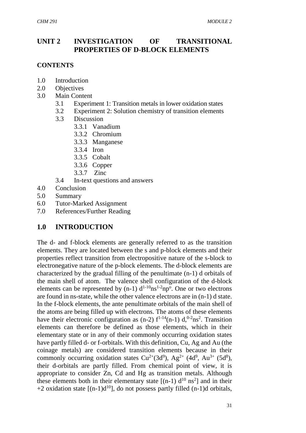## **UNIT 2 INVESTIGATION OF TRANSITIONAL PROPERTIES OF D-BLOCK ELEMENTS**

#### **CONTENTS**

- 1.0 Introduction
- 2.0 Objectives
- 3.0 Main Content
	- 3.1 Experiment 1: Transition metals in lower oxidation states
	- 3.2 Experiment 2: Solution chemistry of transition elements
	- 3.3 Discussion
		- 3.3.1 Vanadium
		- 3.3.2 Chromium
		- 3.3.3 Manganese
		- 3.3.4 Iron
		- 3.3.5 Cobalt
		- 3.3.6 Copper
		- 3.3.7 Zinc

3.4 In-text questions and answers

- 4.0 Conclusion
- 5.0 Summary
- 6.0 Tutor-Marked Assignment
- 7.0 References/Further Reading

## **1.0 INTRODUCTION**

The d- and f-block elements are generally referred to as the transition elements. They are located between the s and p-block elements and their properties reflect transition from electropositive nature of the s-block to electronegative nature of the p-block elements. The d-block elements are characterized by the gradual filling of the penultimate (n-1) d orbitals of the main shell of atom. The valence shell configuration of the d-block elements can be represented by  $(n-1)$   $d^{1-10}$ ns<sup>1-2</sup>np<sup>o</sup>. One or two electrons are found in ns-state, while the other valence electrons are in (n-1) d state. In the f-block elements, the ante penultimate orbitals of the main shell of the atoms are being filled up with electrons. The atoms of these elements have their electronic configuration as  $(n-2) f^{1-14}(n-1) d,^{0-2}ns^2$ . Transition elements can therefore be defined as those elements, which in their elementary state or in any of their commonly occurring oxidation states have partly filled d- or f-orbitals. With this definition, Cu, Ag and Au (the coinage metals) are considered transition elements because in their commonly occurring oxidation states  $Cu^{2+}(3d^9)$ ,  $Ag^{2+}$   $(4d^9, Au^{3+}$   $(5d^8)$ , their d-orbitals are partly filled. From chemical point of view, it is appropriate to consider Zn, Cd and Hg as transition metals. Although these elements both in their elementary state  $[(n-1) d^{10} n s^2]$  and in their +2 oxidation state  $[(n-1)d^{10}]$ , do not possess partly filled  $(n-1)d$  orbitals,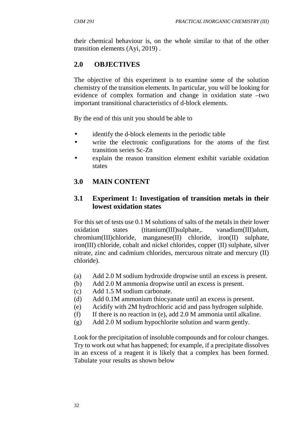their chemical behaviour is, on the whole similar to that of the other transition elements (Ayi, 2019) .

## **2.0 OBJECTIVES**

The objective of this experiment is to examine some of the solution chemistry of the transition elements. In particular, you will be looking for evidence of complex formation and change in oxidation state –two important transitional characteristics of d-block elements.

By the end of this unit you should be able to

- identify the d-block elements in the periodic table
- write the electronic configurations for the atoms of the first transition series Sc-Zn
- explain the reason transition element exhibit variable oxidation states

# **3.0 MAIN CONTENT**

## **3.1 Experiment 1: Investigation of transition metals in their lowest oxidation states**

For this set of tests use 0.1 M solutions of salts of the metals in their lower oxidation states (titanium(III)sulphate,. vanadium(III)alum, chromium(III)chloride, manganese(II) chloride, iron(II) sulphate, iron(III) chloride, cobalt and nickel chlorides, copper (II) sulphate, silver nitrate, zinc and cadmium chlorides, mercurous nitrate and mercury (II) chloride).

- (a) Add 2.0 M sodium hydroxide dropwise until an excess is present.
- (b) Add 2.0 M ammonia dropwise until an excess is present.
- (c) Add 1.5 M sodium carbonate.
- (d) Add 0.1M ammonium thiocyanate until an excess is present.
- (e) Acidify with 2M hydrochloric acid and pass hydrogen sulphide.
- (f) If there is no reaction in (e), add 2.0 M ammonia until alkaline.
- (g) Add 2.0 M sodium hypochlorite solution and warm gently.

Look for the precipitation of insoluble compounds and for colour changes. Try to work out what has happened; for example, if a precipitate dissolves in an excess of a reagent it is likely that a complex has been formed. Tabulate your results as shown below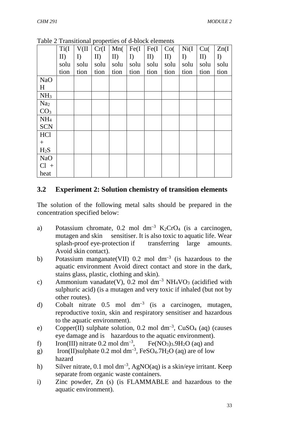|                  |       |       | Ŧ.<br>$\mathbf{r}$ |      |       |       |      |       |      |       |
|------------------|-------|-------|--------------------|------|-------|-------|------|-------|------|-------|
|                  | Ti(I) | V(II) | Cr(I)              | Mn(  | Fe(I) | Fe(I) | Co(  | Ni(I) | Cu(  | Zn(I) |
|                  | II)   | I     | II)                | II)  | I)    | II)   | II)  | I     | II)  | I)    |
|                  | solu  | solu  | solu               | solu | solu  | solu  | solu | solu  | solu | solu  |
|                  | tion  | tion  | tion               | tion | tion  | tion  | tion | tion  | tion | tion  |
| <b>NaO</b>       |       |       |                    |      |       |       |      |       |      |       |
| H                |       |       |                    |      |       |       |      |       |      |       |
| NH <sub>3</sub>  |       |       |                    |      |       |       |      |       |      |       |
| Na <sub>2</sub>  |       |       |                    |      |       |       |      |       |      |       |
| CO <sub>3</sub>  |       |       |                    |      |       |       |      |       |      |       |
| NH <sub>4</sub>  |       |       |                    |      |       |       |      |       |      |       |
| <b>SCN</b>       |       |       |                    |      |       |       |      |       |      |       |
| HC <sub>1</sub>  |       |       |                    |      |       |       |      |       |      |       |
| $+$              |       |       |                    |      |       |       |      |       |      |       |
| H <sub>2</sub> S |       |       |                    |      |       |       |      |       |      |       |
| <b>NaO</b>       |       |       |                    |      |       |       |      |       |      |       |
| $Cl +$           |       |       |                    |      |       |       |      |       |      |       |
| heat             |       |       |                    |      |       |       |      |       |      |       |

Table 2 Transitional properties of d-block elements

## **3.2 Experiment 2: Solution chemistry of transition elements**

The solution of the following metal salts should be prepared in the concentration specified below:

- a) Potassium chromate, 0.2 mol dm<sup>-3</sup> K<sub>2</sub>CrO<sub>4</sub> (is a carcinogen, mutagen and skin sensitiser. It is also toxic to aquatic life. Wear splash-proof eye-protection if transferring large amounts. Avoid skin contact).
- b) Potassium manganate(VII) 0.2 mol dm<sup>-3</sup> (is hazardous to the aquatic environment Avoid direct contact and store in the dark, stains glass, plastic, clothing and skin).
- c) Ammonium vanadate(V), 0.2 mol dm<sup>-3</sup> NH<sub>4</sub>VO<sub>3</sub> (acidified with sulphuric acid) (is a mutagen and very toxic if inhaled (but not by other routes).
- d) Cobalt nitrate 0.5 mol dm–<sup>3</sup> (is a carcinogen, mutagen, reproductive toxin, skin and respiratory sensitiser and hazardous to the aquatic environment).
- e) Copper(II) sulphate solution,  $0.2 \text{ mol dm}^{-3}$ , CuSO<sub>4</sub> (aq) (causes eye damage and is hazardous to the aquatic environment).
- f) Iron(III) nitrate  $0.2$  mol dm<sup>-3</sup>,  $Fe(NO<sub>3</sub>)<sub>3</sub>$ .  $9H<sub>2</sub>O$  (aq) and
- g) Iron(II)sulphate  $0.2 \text{ mol dm}^{-3}$ , FeSO<sub>4</sub>.7H<sub>2</sub>O (aq) are of low hazard
- h) Silver nitrate, 0.1 mol dm<sup>-3</sup>, AgNO(aq) is a skin/eye irritant. Keep separate from organic waste containers.
- i) Zinc powder, Zn (s) (is FLAMMABLE and hazardous to the aquatic environment).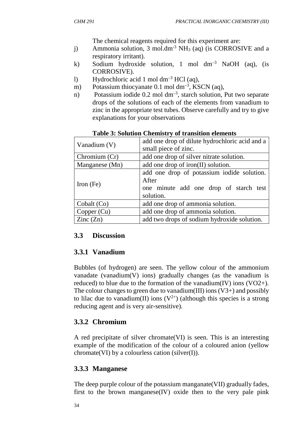The chemical reagents required for this experiment are:

- j) Ammonia solution, 3 mol.dm<sup>-3</sup> NH<sub>3</sub> (aq) (is CORROSIVE and a respiratory irritant).
- k) Sodium hydroxide solution, 1 mol  $dm^{-3}$  NaOH (aq), (is CORROSIVE).
- l) Hydrochloric acid 1 mol dm<sup>-3</sup> HCl (aq),
- m) Potassium thiocyanate  $0.1$  mol dm<sup>-3</sup>, KSCN (aq),
- n) Potassium iodide 0.2 mol dm<sup>-3</sup>, starch solution, Put two separate drops of the solutions of each of the elements from vanadium to zinc in the appropriate test tubes. Observe carefully and try to give explanations for your observations

| Vanadium $(V)$                                                          | add one drop of dilute hydrochloric acid and a<br>small piece of zinc.                                     |  |
|-------------------------------------------------------------------------|------------------------------------------------------------------------------------------------------------|--|
| add one drop of silver nitrate solution.<br>Chromium $(Cr)$             |                                                                                                            |  |
| add one drop of iron(II) solution.<br>Manganese (Mn)                    |                                                                                                            |  |
| Iron $(Fe)$                                                             | add one drop of potassium iodide solution.<br>After<br>one minute add one drop of starch test<br>solution. |  |
| Cobalt (Co)                                                             | add one drop of ammonia solution.                                                                          |  |
| add one drop of ammonia solution.<br>Copper (Cu)                        |                                                                                                            |  |
| add two drops of sodium hydroxide solution.<br>$\text{Zinc}(\text{Zn})$ |                                                                                                            |  |

**Table 3: Solution Chemistry of transition elements**

# **3.3 Discussion**

# **3.3.1 Vanadium**

Bubbles (of hydrogen) are seen. The yellow colour of the ammonium vanadate (vanadium(V) ions) gradually changes (as the vanadium is reduced) to blue due to the formation of the vanadium(IV) ions  $(VO2+)$ . The colour changes to green due to vanadium(III) ions  $(V3+)$  and possibly to lilac due to vanadium(II) ions  $(V^{2+})$  (although this species is a strong reducing agent and is very air-sensitive).

# **3.3.2 Chromium**

A red precipitate of silver chromate(VI) is seen. This is an interesting example of the modification of the colour of a coloured anion (yellow chromate(VI) by a colourless cation (silver(I)).

# **3.3.3 Manganese**

The deep purple colour of the potassium manganate(VII) gradually fades, first to the brown manganese(IV) oxide then to the very pale pink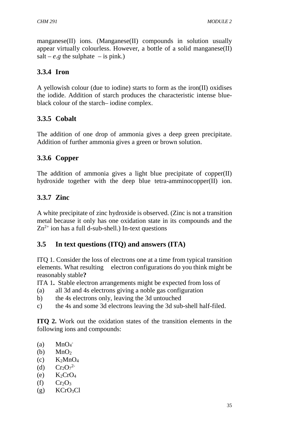manganese(II) ions. (Manganese(II) compounds in solution usually appear virtually colourless. However, a bottle of a solid manganese(II) salt – *e.g* the sulphate – is pink.)

# **3.3.4 Iron**

A yellowish colour (due to iodine) starts to form as the iron(II) oxidises the iodide. Addition of starch produces the characteristic intense blue black colour of the starch– iodine complex.

# **3.3.5 Cobalt**

The addition of one drop of ammonia gives a deep green precipitate. Addition of further ammonia gives a green or brown solution.

# **3.3.6 Copper**

The addition of ammonia gives a light blue precipitate of copper(II) hydroxide together with the deep blue tetra-amminocopper(II) ion.

# **3.3.7 Zinc**

A white precipitate of zinc hydroxide is observed. (Zinc is not a transition metal because it only has one oxidation state in its compounds and the  $Zn^{2+}$  ion has a full d-sub-shell.) In-text questions

# **3.5 In text questions (ITQ) and answers (ITA)**

ITQ 1. Consider the loss of electrons one at a time from typical transition elements. What resulting electron configurations do you think might be reasonably stable**?**

ITA 1**.** Stable electron arrangements might be expected from loss of

- (a) all 3d and 4s electrons giving a noble gas configuration
- b) the 4s electrons only, leaving the 3d untouched
- c) the 4s and some 3d electrons leaving the 3d sub-shell half-filed.

**ITQ 2.** Work out the oxidation states of the transition elements in the following ions and compounds:

- $\text{MnO}_4$
- (b)  $MnO<sub>2</sub>$
- $\text{C}$ ) K<sub>2</sub>MnO<sub>4</sub>
- (d)  $Cr_2O_7^2$
- (e)  $K_2CrO_4$
- $(f)$   $Cr_2O_3$
- $(g)$  KCrO<sub>3</sub>Cl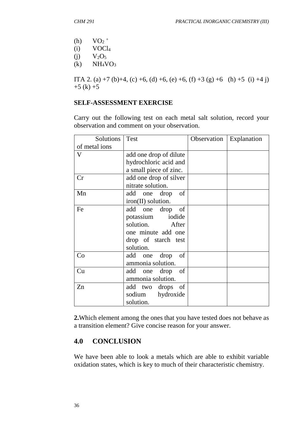- (h)  $VO_2$ <sup>+</sup>
- $(i)$  VOCl<sub>4</sub>
- (i)  $V_2O_5$
- $(k)$  NH<sub>4</sub>VO<sub>3</sub>

ITA 2. (a) +7 (b)+4, (c) +6, (d) +6, (e) +6, (f) +3 (g) +6 (h) +5 (i) +4 j)  $+5$  (k)  $+5$ 

#### **SELF-ASSESSMENT EXERCISE**

Carry out the following test on each metal salt solution, record your observation and comment on your observation.

| Solutions     | Test                   | Observation | Explanation |
|---------------|------------------------|-------------|-------------|
| of metal ions |                        |             |             |
| V             | add one drop of dilute |             |             |
|               | hydrochloric acid and  |             |             |
|               | a small piece of zinc. |             |             |
| Cr            | add one drop of silver |             |             |
|               | nitrate solution.      |             |             |
| Mn            | add one drop<br>of     |             |             |
|               | $iron(II)$ solution.   |             |             |
| Fe            | add one drop of        |             |             |
|               | potassium iodide       |             |             |
|               | solution.<br>After     |             |             |
|               | one minute add one     |             |             |
|               | drop of starch test    |             |             |
|               | solution.              |             |             |
| Co            | of<br>add one<br>drop  |             |             |
|               | ammonia solution.      |             |             |
| Cu            | of<br>add one<br>drop  |             |             |
|               | ammonia solution.      |             |             |
| Zn            | add two drops of       |             |             |
|               | sodium<br>hydroxide    |             |             |
|               | solution.              |             |             |

**2.**Which element among the ones that you have tested does not behave as a transition element? Give concise reason for your answer.

## **4.0 CONCLUSION**

We have been able to look a metals which are able to exhibit variable oxidation states, which is key to much of their characteristic chemistry.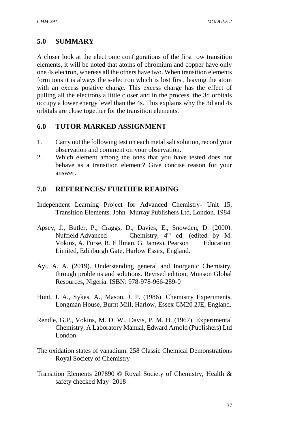## **5.0 SUMMARY**

A closer look at the electronic configurations of the first row transition elements, it will be noted that atoms of chromium and copper have only one 4s electron, whereas all the others have two. When transition elements form ions it is always the s-electron which is lost first, leaving the atom with an excess positive charge. This excess charge has the effect of pulling all the electrons a little closer and in the process, the 3d orbitals occupy a lower energy level than the 4s. This explains why the 3d and 4s orbitals are close together for the transition elements.

## **6.0 TUTOR-MARKED ASSIGNMENT**

- 1. Carry out the following test on each metal salt solution, record your observation and comment on your observation.
- 2. Which element among the ones that you have tested does not behave as a transition element? Give concise reason for your answer.

## **7.0 REFERENCES/ FURTHER READING**

- Independent Learning Project for Advanced Chemistry- Unit 15, Transition Elements. John Murray Publishers Ltd, London. 1984.
- Apsey, J., Butler, P., Craggs, D., Davies, E., Snowden, D. (2000). Nuffield Advanced Chemistry, 4<sup>th</sup> ed. (edited by M. Vokins, A. Furse, R. Hillman, G. James), Pearson Education Limited, Edinburgh Gate, Harlow Essex, England.
- Ayi, A. A. (2019). Understanding general and Inorganic Chemistry, through problems and solutions. Revised edition, Munson Global Resources, Nigeria. ISBN: 978-978-966-289-0
- Hunt, J. A., Sykes, A., Mason, J. P. (1986). Chemistry Experiments, Longman House, Burnt Mill, Harlow, Essex CM20 2JE, England.
- Rendle, G.P., Vokins, M. D. W., Davis, P. M. H. (1967). Experimental Chemistry, A Laboratory Manual, Edward Arnold (Publishers) Ltd London
- The oxidation states of vanadium. 258 Classic Chemical Demonstrations Royal Society of Chemistry
- Transition Elements 207890 © Royal Society of Chemistry, Health & safety checked May 2018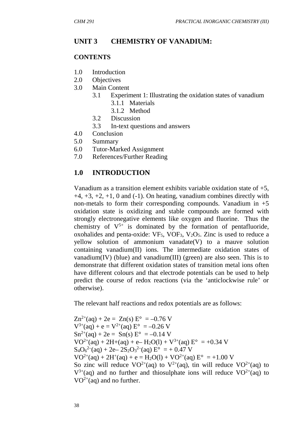#### **UNIT 3 CHEMISTRY OF VANADIUM:**

#### **CONTENTS**

- 1.0 Introduction
- 2.0 Objectives
- 3.0 Main Content
	- 3.1 Experiment 1: Illustrating the oxidation states of vanadium 3.1.1 Materials
		- 3.1.2 Method
		- 3.2 Discussion
		- 3.3 In-text questions and answers
- 4.0 Conclusion
- 5.0 Summary
- 6.0 Tutor-Marked Assignment
- 7.0 References/Further Reading

#### **1.0 INTRODUCTION**

Vanadium as a transition element exhibits variable oxidation state of +5,  $+4$ ,  $+3$ ,  $+2$ ,  $+1$ , 0 and  $(-1)$ . On heating, vanadium combines directly with non-metals to form their corresponding compounds. Vanadium in  $+5$ oxidation state is oxidizing and stable compounds are formed with strongly electronegative elements like oxygen and fluorine. Thus the chemistry of  $V^{5+}$  is dominated by the formation of pentafluoride, oxohalides and penta-oxide:  $VF_5$ ,  $VOF_3$ ,  $V_2O_5$ . Zinc is used to reduce a yellow solution of ammonium vanadate(V) to a mauve solution containing vanadium(II) ions. The intermediate oxidation states of vanadium(IV) (blue) and vanadium(III) (green) are also seen. This is to demonstrate that different oxidation states of transition metal ions often have different colours and that electrode potentials can be used to help predict the course of redox reactions (via the 'anticlockwise rule' or otherwise).

The relevant half reactions and redox potentials are as follows:

 $Zn^{2+}(aa) + 2e = Zn(s) E^{\circ} = -0.76 V$  $V^{3+}(aq) + e = V^{2+}(aq) E^{\circ} = -0.26 V$  $Sn^{2+}(aq) + 2e = Sn(s) E^{\circ} = -0.14 V$  $VO^{2+}(aq) + 2H+(aq) + e-H_2O(1) + V^{3+}(aq) E^{\circ} = +0.34 V$  $S_4O_6^{2-}$ (aq) + 2e – 2S<sub>2</sub>O<sub>3</sub><sup>2</sup> – (aq) E<sup>o</sup> = + 0.47 V  $VO^{2+}(aq) + 2H^{+}(aq) + e = H_2O(l) + VO^{2+}(aq) E^{\circ} = +1.00 V$ So zinc will reduce  $VO^{2+}(aq)$  to  $V^{2+}(aq)$ , tin will reduce  $VO^{2+}(aq)$  to  $V^{3+}(aq)$  and no further and thiosulphate ions will reduce  $VO^{2+}(aq)$  to  $VO^{2+}(aq)$  and no further.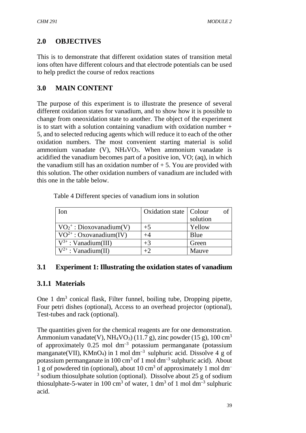# **2.0 OBJECTIVES**

This is to demonstrate that different oxidation states of transition metal ions often have different colours and that electrode potentials can be used to help predict the course of redox reactions

## **3.0 MAIN CONTENT**

The purpose of this experiment is to illustrate the presence of several different oxidation states for vanadium, and to show how it is possible to change from oneoxidation state to another. The object of the experiment is to start with a solution containing vanadium with oxidation number + 5, and to selected reducing agents which will reduce it to each of the other oxidation numbers. The most convenient starting material is solid ammonium vanadate  $(V)$ , NH<sub>4</sub>VO<sub>3</sub>. When ammonium vanadate is acidified the vanadium becomes part of a positive ion, VO; (aq), in which the vanadium still has an oxidation number of  $+5$ . You are provided with this solution. The other oxidation numbers of vanadium are included with this one in the table below.

| Ion                         | Oxidation state   Colour | of       |
|-----------------------------|--------------------------|----------|
|                             |                          | solution |
| $VO_2^+$ : Dioxovanadium(V) | $+5$                     | Yellow   |
| $VO^{2+}$ : Oxovanadium(IV) | +4                       | Blue     |
| $V^{3+}$ : Vanadium(III)    | $+3$                     | Green    |
| $V^{2+}$ : Vanadium(II)     | $+2$                     | Mauve    |

Table 4 Different species of vanadium ions in solution

#### **3.1 Experiment 1: Illustrating the oxidation states of vanadium**

## **3.1.1 Materials**

One 1 dm<sup>3</sup> conical flask, Filter funnel, boiling tube, Dropping pipette, Four petri dishes (optional), Access to an overhead projector (optional), Test-tubes and rack (optional).

The quantities given for the chemical reagents are for one demonstration. Ammonium vanadate(V), NH<sub>4</sub>VO<sub>3</sub>) (11.7 g), zinc powder (15 g), 100 cm<sup>3</sup> of approximately  $0.25$  mol dm<sup>-3</sup> potassium permanganate (potassium manganate(VII), KMnO<sub>4</sub>) in 1 mol dm<sup>-3</sup> sulphuric acid. Dissolve 4 g of potassium permanganate in 100 cm<sup>3</sup> of 1 mol dm–<sup>3</sup> sulphuric acid). About 1 g of powdered tin (optional), about 10 cm<sup>3</sup> of approximately 1 mol dm<sup>-</sup>  $3$  sodium thiosulphate solution (optional). Dissolve about 25 g of sodium thiosulphate-5-water in 100 cm<sup>3</sup> of water, 1 dm<sup>3</sup> of 1 mol dm<sup>-3</sup> sulphuric acid.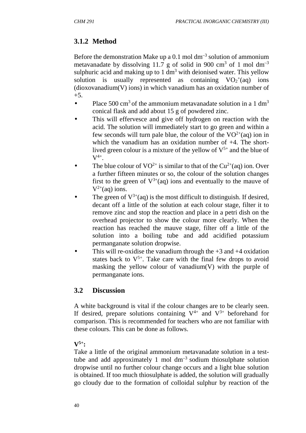# **3.1.2 Method**

Before the demonstration Make up a  $0.1$  mol dm<sup>-3</sup> solution of ammonium metavanadate by dissolving 11.7 g of solid in 900 cm<sup>3</sup> of 1 mol dm<sup>-3</sup> sulphuric acid and making up to  $1 \text{ dm}^3$  with deionised water. This yellow solution is usually represented as containing  $VO_2^+(aq)$  ions (dioxovanadium(V) ions) in which vanadium has an oxidation number of  $+5.$ 

- Place 500 cm<sup>3</sup> of the ammonium metavanadate solution in a 1 dm<sup>3</sup> conical flask and add about 15 g of powdered zinc.
- This will effervesce and give off hydrogen on reaction with the acid. The solution will immediately start to go green and within a few seconds will turn pale blue, the colour of the  $VO^{2+}(aq)$  ion in which the vanadium has an oxidation number of +4. The shortlived green colour is a mixture of the yellow of  $V^{5+}$  and the blue of  $V^{4+}$ .
- The blue colour of  $VO^{2+}$  is similar to that of the  $Cu^{2+}(aq)$  ion. Over a further fifteen minutes or so, the colour of the solution changes first to the green of  $V^{3+}$ (aq) ions and eventually to the mauve of  $V^{2+}$ (aq) ions.
- The green of  $V^{3+}(aq)$  is the most difficult to distinguish. If desired, decant off a little of the solution at each colour stage, filter it to remove zinc and stop the reaction and place in a petri dish on the overhead projector to show the colour more clearly. When the reaction has reached the mauve stage, filter off a little of the solution into a boiling tube and add acidified potassium permanganate solution dropwise.
- This will re-oxidise the vanadium through the  $+3$  and  $+4$  oxidation states back to  $V^{5+}$ . Take care with the final few drops to avoid masking the yellow colour of vanadium(V) with the purple of permanganate ions.

# **3.2 Discussion**

A white background is vital if the colour changes are to be clearly seen. If desired, prepare solutions containing  $V^{4+}$  and  $V^{3+}$  beforehand for comparison. This is recommended for teachers who are not familiar with these colours. This can be done as follows.

## **V5+:**

Take a little of the original ammonium metavanadate solution in a testtube and add approximately 1 mol  $dm^{-3}$  sodium thiosulphate solution dropwise until no further colour change occurs and a light blue solution is obtained. If too much thiosulphate is added, the solution will gradually go cloudy due to the formation of colloidal sulphur by reaction of the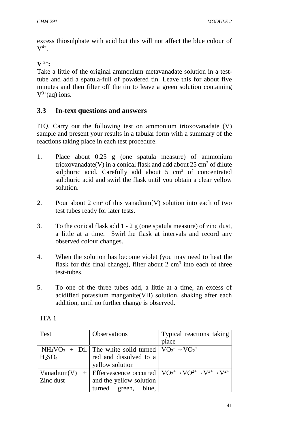excess thiosulphate with acid but this will not affect the blue colour of  $V^{4+}$ .

## **V 3+:**

Take a little of the original ammonium metavanadate solution in a testtube and add a spatula-full of powdered tin. Leave this for about five minutes and then filter off the tin to leave a green solution containing  $V^{3+}$ (aq) ions.

## **3.3 In-text questions and answers**

ITQ. Carry out the following test on ammonium trioxovanadate (V) sample and present your results in a tabular form with a summary of the reactions taking place in each test procedure.

- 1. Place about 0.25 g (one spatula measure) of ammonium trioxovanadate(V) in a conical flask and add about  $25 \text{ cm}^3$  of dilute sulphuric acid. Carefully add about  $5 \text{ cm}^3$  of concentrated sulphuric acid and swirl the flask until you obtain a clear yellow solution.
- 2. Pour about 2 cm<sup>3</sup> of this vanadium<sup>[V]</sup> solution into each of two test tubes ready for later tests.
- 3. To the conical flask add 1 2 g (one spatula measure) of zinc dust, a little at a time. Swirl the flask at intervals and record any observed colour changes.
- 4. When the solution has become violet (you may need to heat the flask for this final change), filter about  $2 \text{ cm}^3$  into each of three test-tubes.
- 5. To one of the three tubes add, a little at a time, an excess of acidified potassium manganite(VII) solution, shaking after each addition, until no further change is observed.

| Г |  |
|---|--|
|   |  |

| Test                           | <b>Observations</b>                                                         | Typical reactions taking                                                     |
|--------------------------------|-----------------------------------------------------------------------------|------------------------------------------------------------------------------|
|                                |                                                                             | place                                                                        |
|                                | $NH_4VO_3 + Dil$ The white solid turned $VO_3$ VO <sub>2</sub> <sup>+</sup> |                                                                              |
| H <sub>2</sub> SO <sub>4</sub> | red and dissolved to a                                                      |                                                                              |
|                                | yellow solution                                                             |                                                                              |
| Vanadium(V)                    |                                                                             | +   Effervescence occurred   $VO_2$ <sup>+</sup> $VO^{2+}$ $V^{3+}$ $V^{2+}$ |
| Zinc dust                      | and the yellow solution                                                     |                                                                              |
|                                | turned green,<br>blue,                                                      |                                                                              |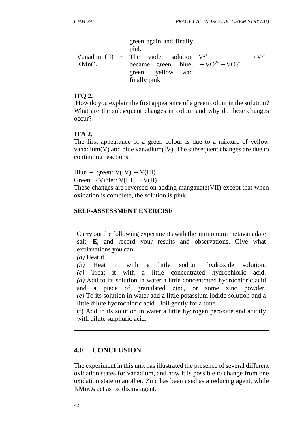|                   | green again and finally<br>pink             |                    |
|-------------------|---------------------------------------------|--------------------|
|                   | Vanadium(II) + The violet solution $V^{2+}$ | $V^{3+}$           |
| KMnO <sub>4</sub> | became green, blue,                         | $VO^{2+}$ $VO_2^+$ |
|                   | green, yellow<br>and                        |                    |
|                   | finally pink                                |                    |

#### **ITQ 2.**

How do you explain the first appearance of a green colour in the solution? What are the subsequent changes in colour and why do these changes occur?

## **ITA 2.**

The first appearance of a green colour is due to a mixture of yellow vanadium(V) and blue vanadium(IV). The subsequent changes are due to continuing reactions:

Blue green:  $V(IV)$   $V(III)$ Green Violet: V(III) V(II)

These changes are reversed on adding manganate(VII) except that when oxidation is complete, the solution is pink.

#### **SELF-ASSESSMENT EXERCISE**

Carry out the following experiments with the ammonium metavanadate salt, **E**, and record your results and observations. Give what explanations you can.

*(a)* Heat it.

*(b)* Heat it with a little sodium hydroxide solution. *(c)* Treat it with a little concentrated hydrochloric acid. *(d)* Add to its solution in water a little concentrated hydrochloric acid and a piece of granulated zinc, or some zinc powder. *(e)* To its solution in water add a little potassium iodide solution and a little dilute hydrochloric acid. Boil gently for a time.

(f) Add to its solution in water a little hydrogen peroxide and acidify with dilute sulphuric acid.

# **4.0 CONCLUSION**

The experiment in this unit has illustrated the presence of several different oxidation states for vanadium, and how it is possible to change from one oxidation state to another. Zinc has been used as a reducing agent, while KMnO<sup>4</sup> act as oxidizing agent.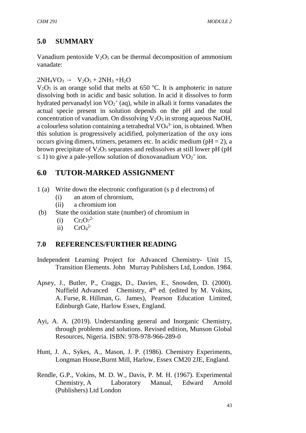## **5.0 SUMMARY**

Vanadium pentoxide  $V_2O_5$  can be thermal decomposition of ammonium vanadate:

#### $2NH_4VO_3$   $V_2O_5 + 2NH_3 + H_2O$

 $V_2O_5$  is an orange solid that melts at 650 °C. It is amphoteric in nature dissolving both in acidic and basic solution. In acid it dissolves to form hydrated pervanadyl ion  $VO_2^+$  (aq), while in alkali it forms vanadates the actual specie present in solution depends on the pH and the total concentration of vanadium. On dissolving  $V_2O_5$  in strong aqueous NaOH, a colourless solution containing a tetrahedral  $VO<sub>4</sub><sup>3</sup>$  ion, is obtained. When this solution is progressively acidified, polymerization of the oxy ions occurs giving dimers, trimers, petamers etc. In acidic medium ( $pH = 2$ ), a brown precipitate of  $V_2O_5$  separates and redissolves at still lower pH (pH)

1) to give a pale-yellow solution of dioxovanadium  $VO_2^+$  ion.

# **6.0 TUTOR-MARKED ASSIGNMENT**

- 1 (a) Write down the electronic configuration (s p d electrons) of
	- (i) an atom of chrornium,
	- (ii) a chromium ion
- (b) State the oxidation state (number) of chromium in
	- (i)  $Cr_2O_7^2$
	- ii)  $CrO<sub>4</sub><sup>2</sup>$

#### **7.0 REFERENCES/FURTHER READING**

- Independent Learning Project for Advanced Chemistry- Unit 15, Transition Elements. John Murray Publishers Ltd, London. 1984.
- Apsey, J., Butler, P., Craggs, D., Davies, E., Snowden, D. (2000). Nuffield Advanced Chemistry, 4<sup>th</sup> ed. (edited by M. Vokins, A. Furse, R. Hillman, G. James), Pearson Education Limited, Edinburgh Gate, Harlow Essex, England.
- Ayi, A. A. (2019). Understanding general and Inorganic Chemistry, through problems and solutions. Revised edition, Munson Global Resources, Nigeria. ISBN: 978-978-966-289-0
- Hunt, J. A., Sykes, A., Mason, J. P. (1986). Chemistry Experiments, Longman House,Burnt Mill, Harlow, Essex CM20 2JE, England.
- Rendle, G.P., Vokins, M. D. W., Davis, P. M. H. (1967). Experimental Chemistry, A Laboratory Manual, Edward Arnold (Publishers) Ltd London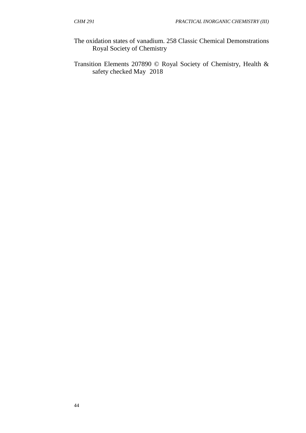- The oxidation states of vanadium. 258 Classic Chemical Demonstrations Royal Society of Chemistry
- Transition Elements 207890 © Royal Society of Chemistry, Health & safety checked May 2018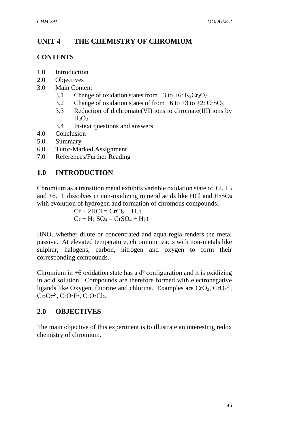## **UNIT 4 THE CHEMISTRY OF CHROMIUM**

#### **CONTENTS**

- 1.0 Introduction
- 2.0 Objectives
- 3.0 Main Content
	- 3.1 Change of oxidation states from  $+3$  to  $+6$ : K<sub>2</sub>Cr<sub>2</sub>O<sub>7</sub>
	- 3.2 Change of oxidation states of from  $+6$  to  $+3$  to  $+2$ : CrSO<sub>4</sub>
	- 3.3 Reduction of dichromate(VI) ions to chromate(III) ions by  $H_2O_2$
	- 3.4 In-text questions and answers
- 4.0 Conclusion
- 5.0 Summary
- 6.0 Tutor-Marked Assignment
- 7.0 References/Further Reading

## **1.0 INTRODUCTION**

Chromium as a transition metal exhibits variable oxidation state of  $+2$ ,  $+3$ and  $+6$ . It dissolves in non-oxidizing mineral acids like HCl and  $H_2SO_4$ with evolution of hydrogen and formation of chromous compounds.

 $Cr + 2HCl = CrCl<sub>2</sub> + H<sub>2</sub>$  $Cr + H_2 SO_4 = CrSO_4 + H_2$ 

HNO<sub>3</sub> whether dilute or concentrated and aqua regia renders the metal passive. At elevated temperature, chromium reacts with non-metals like sulphur, halogens, carbon, nitrogen and oxygen to form their corresponding compounds.

Chromium in  $+6$  oxidation state has a  $d^{\circ}$  configuration and it is oxidizing in acid solution. Compounds are therefore formed with electronegative ligands like Oxygen, fluorine and chlorine. Examples are  $CrO<sub>3</sub>$ ,  $CrO<sub>4</sub><sup>2</sup>$ ,  $Cr_2O_7^2$ ,  $CrO_2F_2$ ,  $CrO_2Cl_2$ .

#### **2.0 OBJECTIVES**

The main objective of this experiment is to illustrate an interesting redox chemistry of chromium.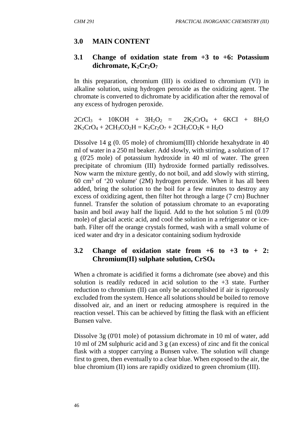# **3.0 MAIN CONTENT**

#### **3.1 Change of oxidation state from +3 to +6: Potassium dichromate, K2Cr2O<sup>7</sup>**

In this preparation, chromium (III) is oxidized to chromium (VI) in alkaline solution, using hydrogen peroxide as the oxidizing agent. The chromate is converted to dichromate by acidification after the removal of any excess of hydrogen peroxide.

 $2CrCl_3 + 10KOH + 3H_2O_2 = 2K_2CrO_4 + 6KCl + 8H_2O$  $2K_2CrO_4 + 2CH_3CO_2H = K_2Cr_2O_7 + 2CH_3CO_2K + H_2O$ 

Dissolve 14 g (0. 05 mole) of chromium(III) chloride hexahydrate in 40 ml of water in a 250 ml beaker. Add slowly, with stirring, a solution of 17 g (0'25 mole) of potassium hydroxide in 40 ml of water. The green precipitate of chromium (III) hydroxide formed partially redissolves. Now warm the mixture gently, do not boil, and add slowly with stirring, 60 cm<sup>3</sup> of '20 volume' (2M) hydrogen peroxide. When it has all been added, bring the solution to the boil for a few minutes to destroy any excess of oxidizing agent, then filter hot through a large (7 crn) Buchner funnel. Transfer the solution of potassium chromate to an evaporating basin and boil away half the liquid. Add to the hot solution 5 ml (0.09 mole) of glacial acetic acid, and cool the solution in a refrigerator or ice bath. Filter off the orange crystals formed, wash with a small volume of iced water and dry in a desicator containing sodium hydroxide

# **3.2 Change of oxidation state from +6 to +3 to + 2: Chromium(II) sulphate solution, CrSO<sup>4</sup>**

When a chromate is acidified it forms a dichromate (see above) and this solution is readily reduced in acid solution to the +3 state. Further reduction to chromium (II) can only be accomplished if air is rigorously excluded from the system. Hence all solutions should be boiled to remove dissolved air, and an inert or reducing atmosphere is required in the reaction vessel. This can be achieved by fitting the flask with an efficient Bunsen valve.

Dissolve 3g (0'01 mole) of potassium dichromate in 10 ml of water, add 10 ml of 2M sulphuric acid and 3 g (an excess) of zinc and fit the conical flask with a stopper carrying a Bunsen valve. The solution will change first to green, then eventually to a clear blue. When exposed to the air, the blue chromium (II) ions are rapidly oxidized to green chromium (III).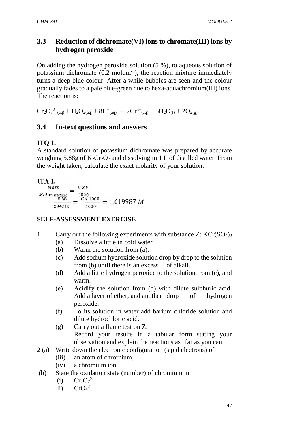# **3.3 Reduction of dichromate(VI) ions to chromate(III) ions by hydrogen peroxide**

On adding the hydrogen peroxide solution (5 %), to aqueous solution of potassium dichromate  $(0.2 \text{ mod/m}^3)$ , the reaction mixture immediately turns a deep blue colour. After a while bubbles are seen and the colour gradually fades to a pale blue-green due to hexa-aquachromium(III) ions. The reaction is:

 $Cr_2O_7^{2-}$ <sub>(aq)</sub> + H<sub>2</sub>O<sub>2(aq)</sub> + 8H<sup>+</sup><sub>(aq)</sub>  $2Cr^{3+}$ <sub>(aq)</sub> + 5H<sub>2</sub>O<sub>(I)</sub> + 2O<sub>2(g)</sub>

# **3.4 In-text questions and answers**

# **ITQ 1.**

A standard solution of potassium dichromate was prepared by accurate weighing 5.88g of  $K_2Cr_2O_7$  and dissolving in 1 L of distilled water. From the weight taken, calculate the exact molarity of your solution.

 $\frac{\text{ITA 1.}}{\text{Mass}} = \frac{c x v}{c}$  $=\frac{1}{1000}$  $\frac{.88}{.185} = \frac{Cx \cdot 1000}{1000} = 0.019987 M$ 

# **SELF-ASSESSMENT EXERCISE**

- 1 Carry out the following experiments with substance  $Z: KCr(SO<sub>4</sub>)<sub>2</sub>$ 
	- (a) Dissolve a little in cold water.
	- (b) Warm the solution from (a).
	- (c) Add sodium hydroxide solution drop by drop to the solution from (b) until there is an excess of alkali.
	- (d) Add a little hydrogen peroxide to the solution from (c), and warm.
	- (e) Acidify the solution from (d) with dilute sulphuric acid. Add a layer of ether, and another drop of hydrogen peroxide.
	- (f) To its solution in water add barium chloride solution and dilute hydrochloric acid.
	- (g) Carry out a flame test on Z. Record your results in a tabular form stating your observation and explain the reactions as far as you can.
- 2 (a) Write down the electronic configuration (s p d electrons) of
	- (iii) an atom of chrornium,
	- (iv) a chromium ion
- (b) State the oxidation state (number) of chromium in
	- (i)  $Cr_2O_7^2$
	- ii)  $CrO<sub>4</sub><sup>2</sup>$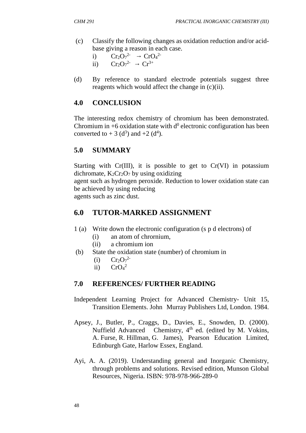- (c) Classify the following changes as oxidation reduction and/or acid base giving a reason in each case.
	- i)  $Cr_2O_7^{2-}$ 2-  $CrO<sub>4</sub>$ <sup>2-</sup>
	- ii)  $Cr_2O_7^2$  $Cr^{3+}$
- (d) By reference to standard electrode potentials suggest three reagents which would affect the change in (c)(ii).

#### **4.0 CONCLUSION**

The interesting redox chemistry of chromium has been demonstrated. Chromium in  $+6$  oxidation state with  $d<sup>0</sup>$  electronic configuration has been converted to  $+ 3$  (d<sup>3</sup>) and  $+2$  (d<sup>4</sup>).

#### **5.0 SUMMARY**

Starting with  $Cr(III)$ , it is possible to get to  $Cr(VI)$  in potassium dichromate,  $K_2Cr_2O_7$  by using oxidizing

agent such as hydrogen peroxide. Reduction to lower oxidation state can be achieved by using reducing

agents such as zinc dust.

## **6.0 TUTOR-MARKED ASSIGNMENT**

- 1 (a) Write down the electronic configuration (s p d electrons) of
	- (i) an atom of chrornium,
	- (ii) a chromium ion
- (b) State the oxidation state (number) of chromium in
	- (i)  $Cr_2O_7^2$
	- ii)  $CrO<sub>4</sub><sup>2</sup>$

#### **7.0 REFERENCES/ FURTHER READING**

- Independent Learning Project for Advanced Chemistry- Unit 15, Transition Elements. John Murray Publishers Ltd, London. 1984.
- Apsey, J., Butler, P., Craggs, D., Davies, E., Snowden, D. (2000). Nuffield Advanced Chemistry,  $4<sup>th</sup>$  ed. (edited by M. Vokins, A. Furse, R. Hillman, G. James), Pearson Education Limited, Edinburgh Gate, Harlow Essex, England.
- Ayi, A. A. (2019). Understanding general and Inorganic Chemistry, through problems and solutions. Revised edition, Munson Global Resources, Nigeria. ISBN: 978-978-966-289-0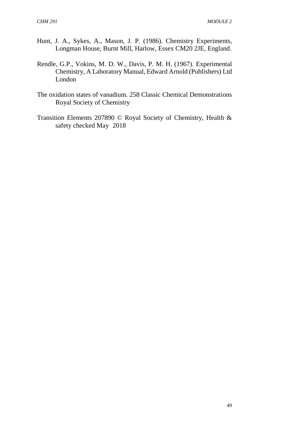- Hunt, J. A., Sykes, A., Mason, J. P. (1986). Chemistry Experiments, Longman House, Burnt Mill, Harlow, Essex CM20 2JE, England.
- Rendle, G.P., Vokins, M. D. W., Davis, P. M. H. (1967). Experimental Chemistry, A Laboratory Manual, Edward Arnold (Publishers) Ltd London
- The oxidation states of vanadium. 258 Classic Chemical Demonstrations Royal Society of Chemistry
- Transition Elements 207890 © Royal Society of Chemistry, Health & safety checked May 2018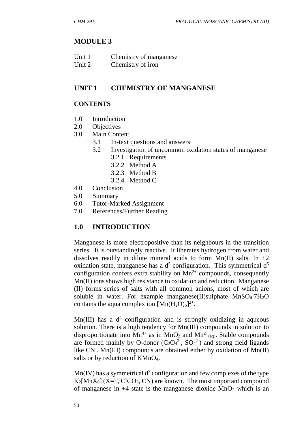#### **MODULE 3**

| Unit 1 | Chemistry of manganese |
|--------|------------------------|
| Unit 2 | Chemistry of iron      |

#### **UNIT 1 CHEMISTRY OF MANGANESE**

#### **CONTENTS**

- 1.0 Introduction
- 2.0 Objectives
- 3.0 Main Content
	- 3.1 In-text questions and answers
		- 3.2 Investigation of uncommon oxidation states of manganese
			- 3.2.1 Requirements
				- 3.2.2 Method A
				- 3.2.3 Method B
				- 3.2.4 Method C
- 4.0 Conclusion
- 5.0 Summary
- 6.0 Tutor-Marked Assignment
- 7.0 References/Further Reading

#### **1.0 INTRODUCTION**

Manganese is more electropositive than its neighbours in the transition series. It is outstandingly reactive. It liberates hydrogen from water and dissolves readily in dilute mineral acids to form  $Mn(II)$  salts. In  $+2$ oxidation state, manganese has a  $d^5$  configuration. This symmetrical  $d^5$ configuration confers extra stability on  $Mn^{2+}$  compounds, consequently Mn(II) ions shows high resistance to oxidation and reduction. Manganese (II) forms series of salts with all common anions, most of which are soluble in water. For example manganese $(II)$ sulphate MnSO<sub>4</sub>.7H<sub>2</sub>O contains the aqua complex ion  $[Mn(H_2O)_6]^{2+}$ .

Mn(III) has a  $d^4$  configuration and is strongly oxidizing in aqueous solution. There is a high tendency for Mn(III) compounds in solution to disproportionate into  $Mn^{4+}$  as in  $MnO_2$  and  $Mn^{2+}$ <sub>(aq)</sub>. Stable compounds are formed mainly by O-donor  $(C_2O_4^2$ ,  $SO_4^2$ ) and strong field ligands like CN<sup>-</sup>. Mn(III) compounds are obtained either by oxidation of Mn(II) salts or by reduction of KMnO4.

 $Mn(IV)$  has a symmetrical  $d<sup>3</sup>$  configuration and few complexes of the type  $K_2[MnX_6]$  (X=F, ClCO<sub>3</sub>, CN) are known. The most important compound of manganese in  $+4$  state is the manganese dioxide  $MnO<sub>2</sub>$  which is an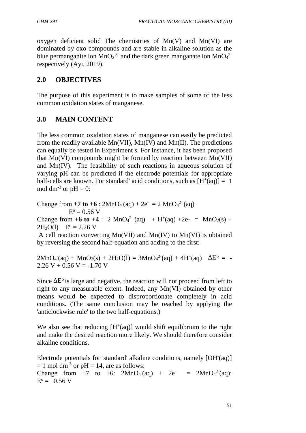oxygen deficient solid The chemistries of Mn(V) and Mn(VI) are dominated by oxo compounds and are stable in alkaline solution as the blue permanganite ion  $MnO_2$ <sup>3-</sup> and the dark green manganate ion  $MnO_4$ <sup>2-</sup> respectively (Ayi, 2019).

#### **2.0 OBJECTIVES**

The purpose of this experiment is to make samples of some of the less common oxidation states of manganese.

#### **3.0 MAIN CONTENT**

The less common oxidation states of manganese can easily be predicted from the readily available  $Mn(VII)$ ,  $Mn(IV)$  and  $Mn(II)$ . The predictions can equally be tested in Experiment s. For instance, it has been proposed that Mn(VI) compounds might be formed by reaction between Mn(VII) and Mn(IV). The feasibility of such reactions in aqueous solution of varying pH can be predicted if the electrode potentials for appropriate half-cells are known. For standard' acid conditions, such as  $[H^+(aq)] = 1$ mol dm<sup>-3</sup> or  $pH = 0$ :

Change from  $+7$  to  $+6$  :  $2MnO_4$ <sup>-</sup>(aq)  $+ 2e^- = 2 MnO_4$ <sup>2-</sup>(aq)  $E^{\circ} = 0.56$  V Change from  $+6$  to  $+4$  : 2 MnO<sub>4</sub><sup>2</sup> (aq)  $+H^+(aq)$  +2e- = MnO<sub>2</sub>(s) +

 $2H_2O(1)$   $E^o = 2.26$  V

A cell reaction converting Mn(VII) and Mn(IV) to Mn(VI) is obtained by reversing the second half-equation and adding to the first:

 $2MnO<sub>4</sub>(aq) + MnO<sub>2</sub>(s) + 2H<sub>2</sub>O(I) = 3MnO<sub>4</sub><sup>2</sup>(aq) + 4H<sup>+</sup>(aq)$  $E^{\circ} = 2.26 V + 0.56 V = -1.70 V$ 

Since  $E^{\circ}$  is large and negative, the reaction will not proceed from left to right to any measurable extent. Indeed, any Mn(VI) obtained by other means would be expected to disproportionate completely in acid conditions. (The same conclusion may be reached by applying the 'anticlockwise rule' to the two half-equations.)

We also see that reducing  $[H^+(aq)]$  would shift equilibrium to the right and make the desired reaction more likely. We should therefore consider alkaline conditions.

Electrode potentials for 'standard' alkaline conditions, namely [OH-(aq)]  $= 1$  mol dm<sup>-3</sup> or pH  $= 14$ , are as follows:

Change from +7 to +6:  $2MnO_4$ <sup>-</sup>(aq) +  $2e^- = 2MnO_4^2$ <sup>-</sup>(aq):  $E^{\circ} = 0.56 \text{ V}$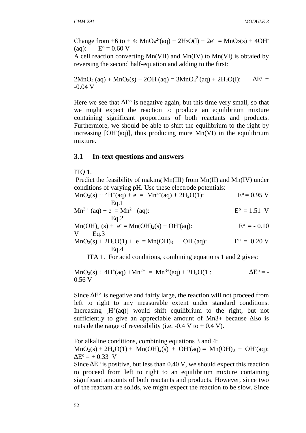Change from +6 to + 4:  $MnO<sub>4</sub><sup>2</sup>(aq) + 2H<sub>2</sub>O(l) + 2e^- = MnO<sub>2</sub>(s) + 4OH^-$ (aq):  $E^{\circ} = 0.60$  V

A cell reaction converting Mn(VII) and Mn(IV) to Mn(VI) is obtaied by reversing the second half-equation and adding to the first:

$$
2MnO4(aq) + MnO2(s) + 2OH(aq) = 3MnO42(aq) + 2H2O(l): \tEo = 0.04 V
$$

Here we see that  $E^{\circ}$  is negative again, but this time very small, so that we might expect the reaction to produce an equilibrium mixture containing significant proportions of both reactants and products. Furthermore, we should be able to shift the equilibrium to the right by increasing  $[OH<sub>1</sub>(aq)]$ , thus producing more Mn(VI) in the equilibrium mixture.

#### **3.1 In-text questions and answers**

ITQ 1.

Predict the feasibility of making Mn(III) from Mn(II) and Mn(IV) under conditions of varying pH. Use these electrode potentials:

| $MnO_2(s) + 4H^+(aq) + e = Mn^{3+}(aq) + 2H_2O(1)$ :                                                          | $E^{\circ} = 0.95$ V      |  |
|---------------------------------------------------------------------------------------------------------------|---------------------------|--|
| Eq.1                                                                                                          |                           |  |
| $Mn^{3+}$ (aq) + e = Mn <sup>2+</sup> (aq):                                                                   | $E^{\circ} = 1.51$ V      |  |
| Eq.2                                                                                                          |                           |  |
| $\mathbf{M}$ ( $\mathbf{M}$ ) $\mathbf{M}$ $\mathbf{M}$ $\mathbf{M}$ $\mathbf{M}$ ) $\mathbf{M}$ $\mathbf{M}$ | $\mathbf{m}$<br>$\sim$ 10 |  |

$$
Mn(OH)_{3}(s) + e^{-} = Mn(OH)_{2}(s) + OH^{-}(aq);
$$
  
 
$$
E^{o} = -0.10
$$
  
 
$$
E^{o} = -0.10
$$

$$
MnO_2(s) + 2H_2O(1) + e = Mn(OH)_3 + OH(aq): \tEo = 0.20 V
$$
  
Eq.4

ITA 1. For acid conditions, combining equations 1 and 2 gives:

$$
MnO2(s) + 4H+(aq) + Mn2+ = Mn3+(aq) + 2H2O(1: Eo = -0.56 V
$$

Since  $E^{\circ}$  is negative and fairly large, the reaction will not proceed from left to right to any measurable extent under standard conditions. Increasing  $[H^+(aq)]$  would shift equilibrium to the right, but not sufficiently to give an appreciable amount of Mn3+ because  $E_0$  is outside the range of reversibility (i.e.  $-0.4$  V to  $+0.4$  V).

For alkaline conditions, combining equations 3 and 4:

 $MnO_2(s) + 2H_2O(1) + Mn(OH)_2(s) + OH(aq) = Mn(OH)_3 + OH(aq)$ :  $E^{\circ} = +0.33$  V

Since  $E^{\circ}$  is positive, but less than 0.40 V, we should expect this reaction to proceed from left to right to an equilibrium mixture containing significant amounts of both reactants and products. However, since two of the reactant are solids, we might expect the reaction to be slow. Since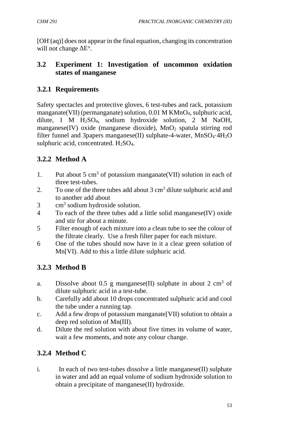$[OH<sub>1</sub>(aq)]$  does not appear in the final equation, changing its concentration will not change  $E^{\circ}$ .

# **3.2 Experiment 1: Investigation of uncommon oxidation states of manganese**

# **3.2.1 Requirements**

Safety spectacles and protective gloves, 6 test-tubes and rack, potassium manganate(VII) (permanganate) solution, 0.01 M KMnO4, sulphuric acid, dilute, 1 M H2SO4, sodium hydroxide solution, 2 M NaOH, manganese(IV) oxide (manganese dioxide),  $MnO<sub>2</sub>$  spatula stirring rod filter funnel and 3papers manganese(II) sulphate-4-water,  $MnSO_4$ -4H<sub>2</sub>O sulphuric acid, concentrated. H<sub>2</sub>SO<sub>4</sub>.

# **3.2.2 Method A**

- 1. Put about 5  $\text{cm}^3$  of potassium manganate(VII) solution in each of three test-tubes.
- 2. To one of the three tubes add about  $3 \text{ cm}^3$  dilute sulphuric acid and to another add about
- 3 cm<sup>3</sup> sodium hydroxide solution.
- 4 To each of the three tubes add a little solid manganese(IV) oxide and stir for about a minute.
- 5 Filter enough of each mixture into a clean tube to see the colour of the filtrate clearly. Use a fresh filter paper for each mixture.
- 6 One of the tubes should now have in it a clear green solution of Mn[VI). Add to this a little dilute sulphuric acid.

# **3.2.3 Method B**

- a. Dissolve about 0.5 g manganese(II) sulphate in about 2  $\text{cm}^3$  of dilute sulphuric acid in a test-tube.
- b. Carefully add about 10 drops concentrated sulphuric acid and cool the tube under a running tap.
- c. Add a few drops of potassium manganate[VII) solution to obtain a deep red solution of Mn(III).
- d. Dilute the red solution with about five times its volume of water, wait a few moments, and note any colour change.

# **3.2.4 Method C**

i. In each of two test-tubes dissolve a little manganese(II) sulphate in water and add an equal volume of sodium hydroxide solution to obtain a precipitate of manganese(II) hydroxide.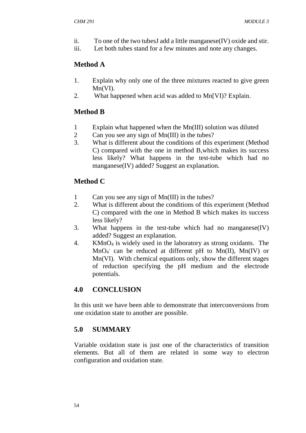- ii. To one of the two tubesJ add a little manganese(IV) oxide and stir.
- iii. Let both tubes stand for a few minutes and note any changes.

## **Method A**

- 1. Explain why only one of the three mixtures reacted to give green Mn(VI).
- 2. What happened when acid was added to Mn[VI)? Explain.

# **Method B**

- 1 Explain what happened when the Mn(III) solution was diluted
- 2 Can you see any sign of Mn(III) in the tubes?
- 3. What is different about the conditions of this experiment (Method C) compared with the one in method B,which makes its success less likely? What happens in the test-tube which had no manganese(IV) added? Suggest an explanation.

# **Method C**

- 1 Can you see any sign of Mn(III) in the tubes?
- 2. What is different about the conditions of this experiment (Method C) compared with the one in Method B which makes its success less likely?
- 3. What happens in the test-tube which had no manganese(IV) added? Suggest an explanation.
- 4. KMnO<sub>4</sub> is widely used in the laboratory as strong oxidants. The  $MnO<sub>4</sub>$  can be reduced at different pH to  $Mn(II)$ ,  $Mn(IV)$  or Mn(VI). With chemical equations only, show the different stages of reduction specifying the pH medium and the electrode potentials.

# **4.0 CONCLUSION**

In this unit we have been able to demonstrate that interconversions from one oxidation state to another are possible.

# **5.0 SUMMARY**

Variable oxidation state is just one of the characteristics of transition elements. But all of them are related in some way to electron configuration and oxidation state.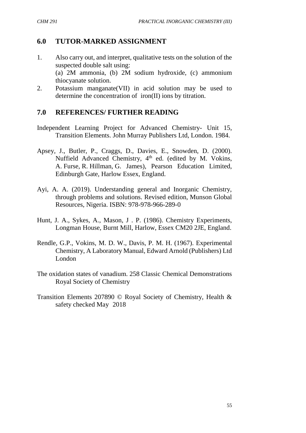## **6.0 TUTOR-MARKED ASSIGNMENT**

- 1. Also carry out, and interpret, qualitative tests on the solution of the suspected double salt using: (a) 2M ammonia, (b) 2M sodium hydroxide, (c) ammonium thiocyanate solution.
- 2. Potassium manganate(VII) in acid solution may be used to determine the concentration of iron(II) ions by titration.

#### **7.0 REFERENCES/ FURTHER READING**

- Independent Learning Project for Advanced Chemistry- Unit 15, Transition Elements. John Murray Publishers Ltd, London. 1984.
- Apsey, J., Butler, P., Craggs, D., Davies, E., Snowden, D. (2000). Nuffield Advanced Chemistry, 4<sup>th</sup> ed. (edited by M. Vokins, A. Furse, R. Hillman, G. James), Pearson Education Limited, Edinburgh Gate, Harlow Essex, England.
- Ayi, A. A. (2019). Understanding general and Inorganic Chemistry, through problems and solutions. Revised edition, Munson Global Resources, Nigeria. ISBN: 978-978-966-289-0
- Hunt, J. A., Sykes, A., Mason, J . P. (1986). Chemistry Experiments, Longman House, Burnt Mill, Harlow, Essex CM20 2JE, England.
- Rendle, G.P., Vokins, M. D. W., Davis, P. M. H. (1967). Experimental Chemistry, A Laboratory Manual, Edward Arnold (Publishers) Ltd London
- The oxidation states of vanadium. 258 Classic Chemical Demonstrations Royal Society of Chemistry
- Transition Elements 207890 © Royal Society of Chemistry, Health & safety checked May 2018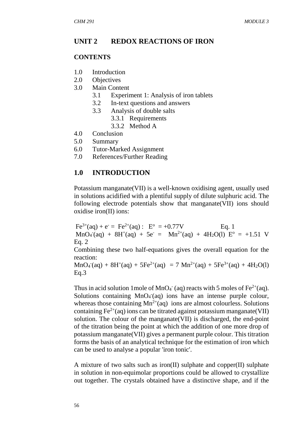#### **UNIT 2 REDOX REACTIONS OF IRON**

#### **CONTENTS**

- 1.0 Introduction
- 2.0 Objectives
- 3.0 Main Content
	- 3.1 Experiment 1: Analysis of iron tablets
	- 3.2 In-text questions and answers
	- 3.3 Analysis of double salts
		- 3.3.1 Requirements
		- 3.3.2 Method A
- 4.0 Conclusion
- 5.0 Summary
- 6.0 Tutor-Marked Assignment
- 7.0 References/Further Reading

#### **1.0 INTRODUCTION**

Potassium manganate(VII) is a well-known oxidising agent, usually used in solutions acidified with a plentiful supply of dilute sulphuric acid. The following electrode potentials show that manganate(VII) ions should oxidise iron(II) ions:

 $Fe^{3+}(aa) + e^- = Fe^{2+}(aa): E^{\circ} = +0.77V$  Eq. 1  $MnO_4$ <sup>-</sup>(aq) + 8H<sup>+</sup>(aq) + 5e<sup>-</sup> =  $Mn^{2+}(aq)$  + 4H<sub>2</sub>O(l) E<sup>o</sup> = +1.51 V Eq. 2

Combining these two half-equations gives the overall equation for the reaction:

 $MnO_4$ <sup>-</sup>(aq) + 8H<sup>+</sup>(aq) + 5Fe<sup>2+</sup>(aq) = 7  $Mn^{2+}(aq)$  + 5Fe<sup>3+</sup>(aq) + 4H<sub>2</sub>O(l) Eq.3

Thus in acid solution 1 mole of MnO<sub>4</sub><sup> $\cdot$ </sup> (aq) reacts with 5 moles of Fe<sup>2+</sup>(aq). Solutions containing  $MnO<sub>4</sub>(aq)$  ions have an intense purple colour, whereas those containing  $Mn^{2+}(aq)$  ions are almost colourless. Solutions containing  $Fe^{2+}(aq)$  ions can be titrated against potassium manganate (VII) solution. The colour of the manganate(VII) is discharged, the end-point of the titration being the point at which the addition of one more drop of potassium manganate(VII) gives a permanent purple colour. This titration forms the basis of an analytical technique for the estimation of iron which can be used to analyse a popular 'iron tonic'.

A mixture of two salts such as iron(II) sulphate and copper(II) sulphate in solution in non-equimolar proportions could be allowed to crystallize out together. The crystals obtained have a distinctive shape, and if the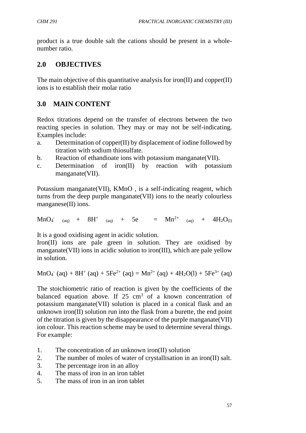product is a true double salt the cations should be present in a whole number ratio.

## **2.0 OBJECTIVES**

The main objective of this quantitative analysis for iron(II) and copper(II) ions is to establish their molar ratio

# **3.0 MAIN CONTENT**

Redox titrations depend on the transfer of electrons between the two reacting species in solution. They may or may not be self-indicating. Examples include:

- a. Determination of copper(II) by displacement of iodine followed by titration with sodium thiosulfate.
- b. Reaction of ethandioate ions with potassium manganate(VII).
- c. Determination of iron(II) by reaction with potassium manganate(VII).

Potassium manganate(VII), KMnO , is a self-indicating reagent, which turns from the deep purple manganate(VII) ions to the nearly colourless manganese(II) ions.

 $MnO<sub>4</sub>$  $-$  (aq) +  $8H^+$  (aq) (aq) + 5e =  $Mn^{2+}$  (aq) +  $4H_2O(1)$ 

It is a good oxidising agent in acidic solution.

Iron(II) ions are pale green in solution. They are oxidised by manganate(VII) ions in acidic solution to iron(III), which are pale yellow in solution.

$$
MnO_4^-(aq) + 8H^+(aq) + 5Fe^{2+}(aq) = Mn^{2+}(aq) + 4H_2O(l) + 5Fe^{3+}(aq)
$$

The stoichiometric ratio of reaction is given by the coefficients of the balanced equation above. If  $25 \text{ cm}^3$  of a known concentration of potassium manganate(VII) solution is placed in a conical flask and an unknown iron(II) solution run into the flask from a burette, the end point of the titration is given by the disappearance of the purple manganate(VII) ion colour. This reaction scheme may be used to determine several things. For example:

- 1. The concentration of an unknown iron(II) solution
- 2. The number of moles of water of crystallisation in an iron(II) salt.
- 3. The percentage iron in an alloy
- 4. The mass of iron in an iron tablet
- 5. The mass of iron in an iron tablet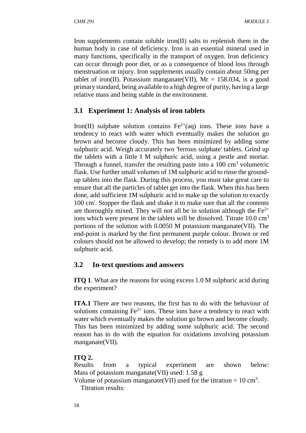Iron supplements contain soluble iron(II) salts to replenish them in the human body in case of deficiency. Iron is an essential mineral used in many functions, specifically in the transport of oxygen. Iron deficiency can occur through poor diet, or as a consequence of blood loss through menstruation or injury. Iron supplements usually contain about 50mg per tablet of iron(II). Potassium manganate(VII),  $Mr = 158.034$ , is a good primary standard, being available to a high degree of purity, having a large relative mass and being stable in the environment.

#### **3.1 Experiment 1: Analysis of iron tablets**

Iron(II) sulphate solution contains  $Fe^{2+}(aq)$  ions. These ions have a tendency to react with water which eventually makes the solution go brown and become cloudy. This has been minimized by adding some sulphuric acid. Weigh accurately two 'ferrous sulphate' tablets. Grind up the tablets with a little I M sulphuric acid, using a pestle and mortar. Through a funnel, transfer the resulting paste into a  $100 \text{ cm}^3$  volumetric flask. Use further small volumes of 1M sulphuric acid to rinse the ground up tablets into the flask. During this process, you must take great care to ensure that all the particles of tablet get into the flask. When this has been done, add sufficient 1M sulphuric acid to make up the solution to exactly 100 cm'. Stopper the flask and shake it to make sure that all the contents are thoroughly mixed. They will not all be in solution although the  $Fe^{2+}$ ions which were present in the tablets will be dissolved. Titrate 10.0 cm<sup>3</sup> portions of the solution with 0.0050 M potassium manganate(VII). The end-point is marked by the first permanent purple colour. Brown or red colours should not be allowed to develop; the remedy is to add more 1M sulphuric acid.

#### **3.2 In-text questions and answers**

**ITQ 1**. What are the reasons for using excess 1.0 M sulphuric acid during the experiment?

**ITA.1** There are two reasons, the first has to do with the behaviour of solutions containing  $Fe<sup>2+</sup>$  ions. These ions have a tendency to react with water which eventually makes the solution go brown and become cloudy. This has been minimized by adding some sulphuric acid. The second reason has to do with the equation for oxidations involving potassium manganate(VII).

#### **ITQ 2.**

Results from a typical experiment are shown below: Mass of potassium manganate(VII) used: 1.58 g

Volume of potassium manganate (VII) used for the titration  $= 10 \text{ cm}^3$ . Titration results: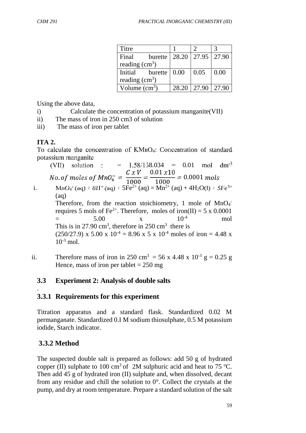| Titre           |                                         |  |                       |            |
|-----------------|-----------------------------------------|--|-----------------------|------------|
| Final           | burette   28.20   27.95   27.90         |  |                       |            |
| reading $(cm3)$ |                                         |  |                       |            |
|                 | Initial burette $\vert 0.00 \vert 0.05$ |  |                       | $\pm 0.00$ |
| reading $(cm3)$ |                                         |  |                       |            |
| Volume $(cm^3)$ |                                         |  | 28.20   27.90   27.90 |            |

Using the above data,

- i) Calculate the concentration of potassium manganite(VII)
- ii) The mass of iron in 250 cm3 of solution
- iii) The mass of iron per tablet

## **ITA 2.**

To calculate the concentration of KMnO4: Concentration of standard potassium manganite

(VII) solution : =  $1.58/158.034 = 0.01$  mol dm<sup>-3</sup> of moles of  $MnO_4 = \frac{1000}{1000} = \frac{1000}{1000} = 0$  $\frac{0.01 \times 10}{2}$  = 0.0001  $\frac{1000}{1000} = 0.0001 \text{ mol/s}$ i.  $MnO_4$ <sup>-</sup> (aq) + 8H<sup>+</sup> (aq) + 5Fe<sup>2+</sup> (aq) =  $Mn^{2+}$  (aq) + 4H<sub>2</sub>O(l) + 5Fe<sup>3+</sup>  $(aq)$ Therefore, from the reaction stoichiometry, 1 mole of MnO<sub>4</sub> requires 5 mols of Fe<sup>2+</sup>. Therefore, moles of iron(II) = 5 x 0.0001  $=$  5.00 x  $10^{-4}$  mol This is in 27.90 cm<sup>3</sup>, therefore in  $250 \text{ cm}^3$  there is  $(250/27.9)$  x 5.00 x  $10^{-4}$  = 8.96 x 5 x  $10^{-4}$  moles of iron = 4.48 x  $10^{-3}$  mol.

ii. Therefore mass of iron in 250 cm<sup>3</sup> = 56 x 4.48 x 10<sup>-3</sup> g = 0.25 g Hence, mass of iron per tablet  $= 250$  mg

## **3.3 Experiment 2: Analysis of double salts**

## **3.3.1 Requirements for this experiment**

Titration apparatus and a standard flask. Standardized 0.02 M permanganate. Standardized 0.I M sodium thiosulphate, 0.5 M potassium iodide, Starch indicator.

# **3.3.2 Method**

.

The suspected double salt is prepared as follows: add 50 g of hydrated copper (II) sulphate to 100 cm<sup>3</sup> of 2M sulphuric acid and heat to 75 °C. Then add 45 g of hydrated iron (II) sulphate and, when dissolved, decant from any residue and chill the solution to 0°. Collect the crystals at the pump, and dry at room temperature. Prepare a standard solution of the salt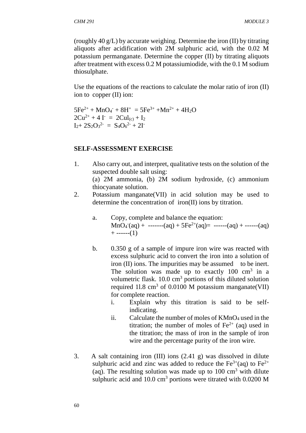(roughly 40 g/L) by accurate weighing. Determine the iron (II) by titrating aliquots after acidification with 2M sulphuric acid, with the 0.02 M potassium permanganate. Determine the copper (II) by titrating aliquots after treatment with excess 0.2 M potassiumiodide, with the 0.1 M sodium thiosulphate.

Use the equations of the reactions to calculate the molar ratio of iron (II) ion to copper (II) ion:

 $5Fe^{2+} + MnO_4 + 8H^+ = 5Fe^{3+} + Mn^{2+} + 4H_2O$  $2Cu^{2+} + 4I = 2Cul_{(c)} + I_2$  $I_2 + 2S_2O_3^{2} = S_4O_6^{2} + 2I$ 

#### **SELF-ASSESSMENT EXERCISE**

1. Also carry out, and interpret, qualitative tests on the solution of the suspected double salt using:

(a) 2M ammonia, (b) 2M sodium hydroxide, (c) ammonium thiocyanate solution.

- 2. Potassium manganate(VII) in acid solution may be used to determine the concentration of iron(II) ions by titration.
	- a. Copy, complete and balance the equation:  $MnO_4$ <sup>-</sup>(aq) + -------(aq) + 5Fe<sup>2+</sup>(aq)= ------(aq) + ------(aq)  $+$  ------(1)
	- b.  $0.350$  g of a sample of impure iron wire was reacted with excess sulphuric acid to convert the iron into a solution of iron (II) ions. The impurities may be assumed to be inert. The solution was made up to exactly  $100 \text{ cm}^3$  in a volumetric flask.  $10.0 \text{ cm}^3$  portions of this diluted solution required 11.8 cm<sup>3</sup> of 0.0100 M potassium manganate(VII) for complete reaction.
		- i. Explain why this titration is said to be selfindicating.
		- ii. Calculate the number of moles of KMnO<sub>4</sub> used in the titration; the number of moles of  $Fe^{2+}$  (aq) used in the titration; the mass of iron in the sample of iron wire and the percentage purity of the iron wire.
- 3. A salt containing iron (III) ions (2.41 g) was dissolved in dilute sulphuric acid and zinc was added to reduce the  $Fe^{3+}(aq)$  to  $Fe^{2+}$ (aq). The resulting solution was made up to  $100 \text{ cm}^3$  with dilute sulphuric acid and 10.0 cm<sup>3</sup> portions were titrated with 0.0200 M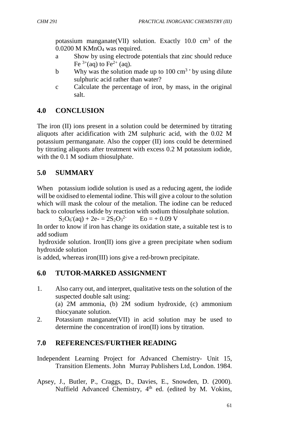potassium manganate (VII) solution. Exactly  $10.0 \text{ cm}^3$  of the 0.0200 M KMnO<sup>4</sup> was required.

- a Show by using electrode potentials that zinc should reduce Fe  $3^{+}(aq)$  to Fe<sup>2+</sup> (aq).
- b Why was the solution made up to  $100 \text{ cm}^3$  ' by using dilute sulphuric acid rather than water?
- c Calculate the percentage of iron, by mass, in the original salt.

# **4.0 CONCLUSION**

The iron (II) ions present in a solution could be determined by titrating aliquots after acidification with 2M sulphuric acid, with the 0.02 M potassium permanganate. Also the copper (II) ions could be determined by titrating aliquots after treatment with excess 0.2 M potassium iodide, with the 0.1 M sodium thiosulphate.

# **5.0 SUMMARY**

When potassium iodide solution is used as a reducing agent, the iodide will be oxidised to elemental iodine. This will give a colour to the solution which will mask the colour of the metalion. The iodine can be reduced back to colourless iodide by reaction with sodium thiosulphate solution.

 $S_2O_6$  (aq) + 2e- =  $2S_2O_3^{2}$  $E_0 = + 0.09$  V In order to know if iron has change its oxidation state, a suitable test is to add sodium

hydroxide solution. Iron(II) ions give a green precipitate when sodium hydroxide solution

is added, whereas iron(III) ions give a red-brown precipitate.

# **6.0 TUTOR-MARKED ASSIGNMENT**

- 1. Also carry out, and interpret, qualitative tests on the solution of the suspected double salt using: (a) 2M ammonia, (b) 2M sodium hydroxide, (c) ammonium thiocyanate solution.
- 2. Potassium manganate(VII) in acid solution may be used to determine the concentration of iron(II) ions by titration.

## **7.0 REFERENCES/FURTHER READING**

- Independent Learning Project for Advanced Chemistry- Unit 15, Transition Elements. John Murray Publishers Ltd, London. 1984.
- Apsey, J., Butler, P., Craggs, D., Davies, E., Snowden, D. (2000). Nuffield Advanced Chemistry, 4<sup>th</sup> ed. (edited by M. Vokins,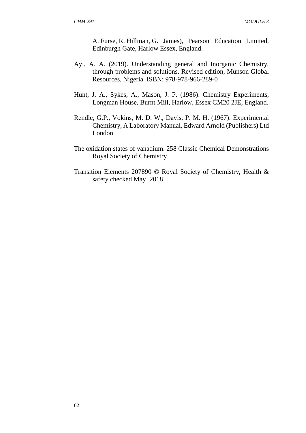A. Furse, R. Hillman, G. James), Pearson Education Limited, Edinburgh Gate, Harlow Essex, England.

- Ayi, A. A. (2019). Understanding general and Inorganic Chemistry, through problems and solutions. Revised edition, Munson Global Resources, Nigeria. ISBN: 978-978-966-289-0
- Hunt, J. A., Sykes, A., Mason, J. P. (1986). Chemistry Experiments, Longman House, Burnt Mill, Harlow, Essex CM20 2JE, England.
- Rendle, G.P., Vokins, M. D. W., Davis, P. M. H. (1967). Experimental Chemistry, A Laboratory Manual, Edward Arnold (Publishers) Ltd London
- The oxidation states of vanadium. 258 Classic Chemical Demonstrations Royal Society of Chemistry
- Transition Elements 207890 © Royal Society of Chemistry, Health & safety checked May 2018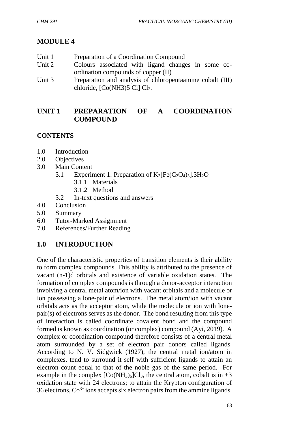## **MODULE 4**

| Unit 1       | Preparation of a Coordination Compound                    |  |  |  |
|--------------|-----------------------------------------------------------|--|--|--|
| Unit 2       | Colours associated with ligand changes in some co-        |  |  |  |
|              | ordination compounds of copper (II)                       |  |  |  |
| $I$ Init $2$ | Preparation and analysis of chloropentagmine cobalt (III) |  |  |  |

Unit 3 Preparation and analysis of chloropentaamine cobalt (III) chloride, [Co(NH3)5 Cl] Cl2.

# **UNIT 1 PREPARATION OF A COORDINATION COMPOUND**

## **CONTENTS**

- 1.0 Introduction
- 2.0 Objectives
- 3.0 Main Content
	- 3.1 Experiment 1: Preparation of  $K_3[Fe(C_2O_4)_3]$ .  $3H_2O$ 
		- 3.1.1 Materials
		- 3.1.2 Method
	- 3.2 In-text questions and answers
- 4.0 Conclusion
- 5.0 Summary
- 6.0 Tutor-Marked Assignment
- 7.0 References/Further Reading

# **1.0 INTRODUCTION**

One of the characteristic properties of transition elements is their ability to form complex compounds. This ability is attributed to the presence of vacant (n-1)d orbitals and existence of variable oxidation states. The formation of complex compounds is through a donor-acceptor interaction involving a central metal atom/ion with vacant orbitals and a molecule or ion possessing a lone-pair of electrons. The metal atom/ion with vacant orbitals acts as the acceptor atom, while the molecule or ion with lone pair(s) of electrons serves as the donor. The bond resulting from this type of interaction is called coordinate covalent bond and the compound formed is known as coordination (or complex) compound (Ayi, 2019). A complex or coordination compound therefore consists of a central metal atom surrounded by a set of electron pair donors called ligands. According to N. V. Sidgwick (1927), the central metal ion/atom in complexes, tend to surround it self with sufficient ligands to attain an electron count equal to that of the noble gas of the same period. For example in the complex  $[Co(NH_3)_6]Cl_3$ , the central atom, cobalt is in  $+3$ oxidation state with 24 electrons; to attain the Krypton configuration of 36 electrons,  $Co<sup>3+</sup>$  ions accepts six electron pairs from the ammine ligands.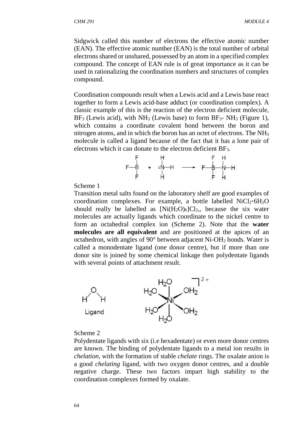Sidgwick called this number of electrons the effective atomic number (EAN). The effective atomic number (EAN) is the total number of orbital electrons shared or unshared, possessed by an atom in a specified complex compound. The concept of EAN rule is of great importance as it can be used in rationalizing the coordination numbers and structures of complex compound.

Coordination compounds result when a Lewis acid and a Lewis base react together to form a Lewis acid-base adduct (or coordination complex). A classic example of this is the reaction of the electron deficient molecule,  $BF_3$  (Lewis acid), with  $NH_3$  (Lewis base) to form  $BF_3$ -  $NH_3$  (Figure 1), which contains a coordinate covalent bond between the boron and nitrogen atoms, and in which the boron has an octet of electrons. The NH<sup>3</sup> molecule is called a ligand because of the fact that it has a lone pair of electrons which it can donate to the electron deficient BF3.

$$
\begin{array}{ccccccc}\n & F & H & & F & H \\
 & \downarrow & & \downarrow & & \downarrow & & \downarrow & \\
F-B & + & iN-H & \longrightarrow & F-B-N-H & \\
 & \downarrow & & \downarrow & & & \downarrow & \\
 & \downarrow & & & \downarrow & & & \downarrow \\
 & & H & & & & & \downarrow\n\end{array}
$$

Scheme 1

Transition metal salts found on the laboratory shelf are good examples of coordination complexes. For example, a bottle labelled NiCl2**·**6H2O should really be labelled as  $[Ni(H_2O)_6]Cl_2$ , because the six water molecules are actually ligands which coordinate to the nickel centre to form an octahedral complex ion (Scheme 2). Note that the **water molecules are all equivalent** and are positioned at the apices of an octahedron, with angles of 90° between adjacent Ni-OH<sup>2</sup> bonds. Water is called a monodentate ligand (one donor centre), but if more than one donor site is joined by some chemical linkage then polydentate ligands with several points of attachment result.



#### Scheme 2

Polydentate ligands with six (i.e hexadentate) or even more donor centres are known. The binding of polydentate ligands to a metal ion results in *chelation*, with the formation of stable *chelate* rings. The oxalate anion is a good *chelating* ligand, with two oxygen donor centres, and a double negative charge. These two factors impart high stability to the coordination complexes formed by oxalate.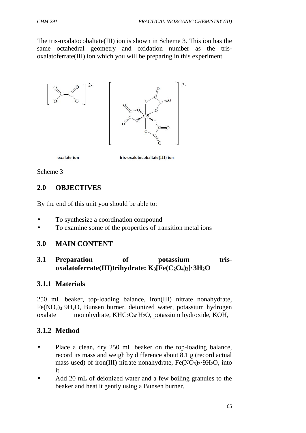The tris-oxalatocobaltate(III) ion is shown in Scheme 3. This ion has the same octahedral geometry and oxidation number as the tris oxalatoferrate(III) ion which you will be preparing in this experiment.



oxalate jon

tris-oxalotocobaltate(III) ion

Scheme 3

### **2.0 OBJECTIVES**

By the end of this unit you should be able to:

- To synthesize a coordination compound
- To examine some of the properties of transition metal ions

### **3.0 MAIN CONTENT**

### **3.1 Preparation of potassium tris oxalatoferrate(III)trihydrate: K3[Fe(C2O4)3]·3H2O**

### **3.1.1 Materials**

250 mL beaker, top-loading balance, iron(III) nitrate nonahydrate, Fe( $NO_3$ )<sub>3</sub>·9H<sub>2</sub>O, Bunsen burner. deionized water, potassium hydrogen oxalate monohydrate, KHC2O4·H2O, potassium hydroxide, KOH,

### **3.1.2 Method**

- Place a clean, dry 250 mL beaker on the top-loading balance, record its mass and weigh by difference about 8.1 g (record actual mass used) of iron(III) nitrate nonahydrate,  $Fe(NO<sub>3</sub>)<sub>3</sub>·9H<sub>2</sub>O$ , into it.
- Add 20 mL of deionized water and a few boiling granules to the beaker and heat it gently using a Bunsen burner.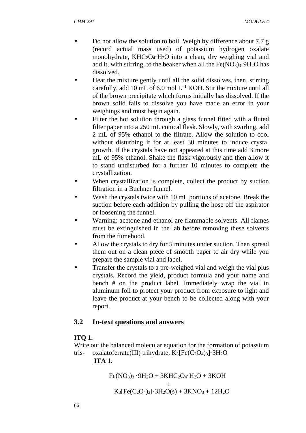- Do not allow the solution to boil. Weigh by difference about 7.7 g (record actual mass used) of potassium hydrogen oxalate monohydrate, KHC2O4·H2O into a clean, dry weighing vial and add it, with stirring, to the beaker when all the  $Fe(NO<sub>3</sub>)<sub>3</sub>·9H<sub>2</sub>O$  has dissolved.
- Heat the mixture gently until all the solid dissolves, then, stirring carefully, add 10 mL of 6.0 mol  $L^{-1}$  KOH. Stir the mixture until all of the brown precipitate which forms initially has dissolved. If the brown solid fails to dissolve you have made an error in your weighings and must begin again.
- Filter the hot solution through a glass funnel fitted with a fluted filter paper into a 250 mL conical flask. Slowly, with swirling, add 2 mL of 95% ethanol to the filtrate. Allow the solution to cool without disturbing it for at least 30 minutes to induce crystal growth. If the crystals have not appeared at this time add 3 more mL of 95% ethanol. Shake the flask vigorously and then allow it to stand undisturbed for a further 10 minutes to complete the crystallization.
- When crystallization is complete, collect the product by suction filtration in a Buchner funnel.
- Wash the crystals twice with 10 mL portions of acetone. Break the suction before each addition by pulling the hose off the aspirator or loosening the funnel.
- Warning: acetone and ethanol are flammable solvents. All flames must be extinguished in the lab before removing these solvents from the fumehood.
- Allow the crystals to dry for 5 minutes under suction. Then spread them out on a clean piece of smooth paper to air dry while you prepare the sample vial and label.
- Transfer the crystals to a pre-weighed vial and weigh the vial plus crystals. Record the yield, product formula and your name and bench # on the product label. Immediately wrap the vial in aluminum foil to protect your product from exposure to light and leave the product at your bench to be collected along with your report.

# **3.2 In-text questions and answers**

### **ITQ 1.**

Write out the balanced molecular equation for the formation of potassium tris- oxalatoferrate(III) trihydrate,  $K_3[Fe(C_2O_4)_3]\cdot 3H_2O$ 

**ITA 1.**

 $Fe(NO<sub>3</sub>)<sub>3</sub> · 9H<sub>2</sub>O + 3KHC<sub>2</sub>O<sub>4</sub> · H<sub>2</sub>O + 3KOH$ 

 $K_3[Fe(C_2O_4)_3]\cdot 3H_2O(s) + 3KNO_3 + 12H_2O$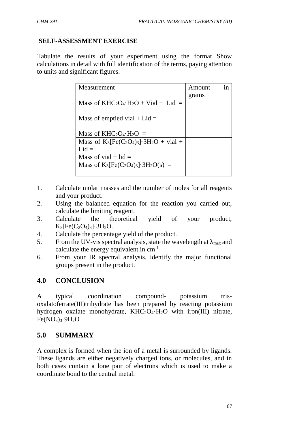#### **SELF-ASSESSMENT EXERCISE**

Tabulate the results of your experiment using the format Show calculations in detail with full identification of the terms, paying attention to units and significant figures.

| Measurement                                     | Amount | 1n |
|-------------------------------------------------|--------|----|
|                                                 | grams  |    |
| Mass of $KHC_2O_4 \cdot H_2O + Vial + Lid =$    |        |    |
|                                                 |        |    |
| Mass of emptied vial $+$ Lid $=$                |        |    |
|                                                 |        |    |
| Mass of $KHC_2O_4·H_2O =$                       |        |    |
| Mass of $K_3[Fe(C_2O_4)_3]\cdot 3H_2O + vial +$ |        |    |
| $Lid =$                                         |        |    |
| Mass of vial $+$ lid $=$                        |        |    |
| Mass of $K_3[Fe(C_2O_4)_3] \cdot 3H_2O(s) =$    |        |    |
|                                                 |        |    |

- 1. Calculate molar masses and the number of moles for all reagents and your product.
- 2. Using the balanced equation for the reaction you carried out, calculate the limiting reagent.
- 3. Calculate the theoretical yield of your product,  $K_3[Fe(C_2O_4)_3] \cdot 3H_2O.$
- 4. Calculate the percentage yield of the product.
- 5. From the UV-vis spectral analysis, state the wavelength at  $\mu$ <sub>max</sub> and calculate the energy equivalent in cm-1
- 6. From your IR spectral analysis, identify the major functional groups present in the product.

### **4.0 CONCLUSION**

A typical coordination compound- potassium tris oxalatoferrate(III)trihydrate has been prepared by reacting potassium hydrogen oxalate monohydrate, KHC2O4·H2O with iron(III) nitrate,  $Fe(NO<sub>3</sub>)<sub>3</sub>·9H<sub>2</sub>O$ 

#### **5.0 SUMMARY**

A complex is formed when the ion of a metal is surrounded by ligands. These ligands are either negatively charged ions, or molecules, and in both cases contain a lone pair of electrons which is used to make a coordinate bond to the central metal.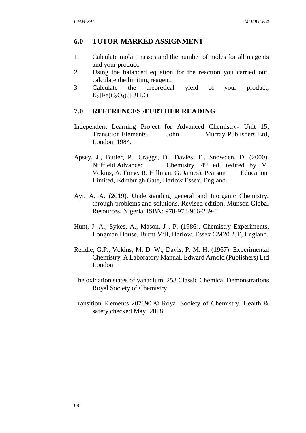#### **6.0 TUTOR-MARKED ASSIGNMENT**

- 1. Calculate molar masses and the number of moles for all reagents and your product.
- 2. Using the balanced equation for the reaction you carried out, calculate the limiting reagent.
- 3. Calculate the theoretical yield of your product,  $K_3[Fe(C_2O_4)_3] \cdot 3H_2O.$

### **7.0 REFERENCES /FURTHER READING**

- Independent Learning Project for Advanced Chemistry- Unit 15, Transition Elements. John Murray Publishers Ltd, London. 1984.
- Apsey, J., Butler, P., Craggs, D., Davies, E., Snowden, D. (2000). Nuffield Advanced Chemistry, 4<sup>th</sup> ed. (edited by M. Vokins, A. Furse, R. Hillman, G. James), Pearson Education Limited, Edinburgh Gate, Harlow Essex, England.
- Ayi, A. A. (2019). Understanding general and Inorganic Chemistry, through problems and solutions. Revised edition, Munson Global Resources, Nigeria. ISBN: 978-978-966-289-0
- Hunt, J. A., Sykes, A., Mason, J . P. (1986). Chemistry Experiments, Longman House, Burnt Mill, Harlow, Essex CM20 2JE, England.
- Rendle, G.P., Vokins, M. D. W., Davis, P. M. H. (1967). Experimental Chemistry, A Laboratory Manual, Edward Arnold (Publishers) Ltd London
- The oxidation states of vanadium. 258 Classic Chemical Demonstrations Royal Society of Chemistry
- Transition Elements 207890 © Royal Society of Chemistry, Health & safety checked May 2018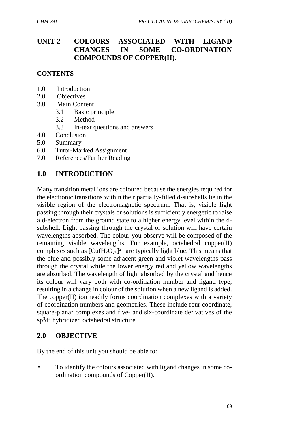# **UNIT 2 COLOURS ASSOCIATED WITH LIGAND CHANGES IN SOME CO-ORDINATION COMPOUNDS OF COPPER(II).**

### **CONTENTS**

- 1.0 Introduction
- 2.0 Objectives
- 3.0 Main Content
	- 3.1 Basic principle
	- 3.2 Method
	- 3.3 In-text questions and answers
- 4.0 Conclusion
- 5.0 Summary
- 6.0 Tutor-Marked Assignment
- 7.0 References/Further Reading

### **1.0 INTRODUCTION**

Many transition metal ions are coloured because the energies required for the electronic transitions within their partially-filled d-subshells lie in the visible region of the electromagnetic spectrum. That is, visible light passing through their crystals or solutions is sufficiently energetic to raise a d-electron from the ground state to a higher energy level within the d subshell. Light passing through the crystal or solution will have certain wavelengths absorbed. The colour you observe will be composed of the remaining visible wavelengths. For example, octahedral copper(II) complexes such as  $\text{[Cu(H<sub>2</sub>O)<sub>6</sub>]}^{2+}$  are typically light blue. This means that the blue and possibly some adjacent green and violet wavelengths pass through the crystal while the lower energy red and yellow wavelengths are absorbed. The wavelength of light absorbed by the crystal and hence its colour will vary both with co-ordination number and ligand type, resulting in a change in colour of the solution when a new ligand is added. The copper(II) ion readily forms coordination complexes with a variety of coordination numbers and geometries. These include four coordinate, square-planar complexes and five- and six-coordinate derivatives of the sp<sup>3</sup>d <sup>2</sup> hybridized octahedral structure.

#### **2.0 OBJECTIVE**

By the end of this unit you should be able to:

 To identify the colours associated with ligand changes in some co ordination compounds of Copper(II).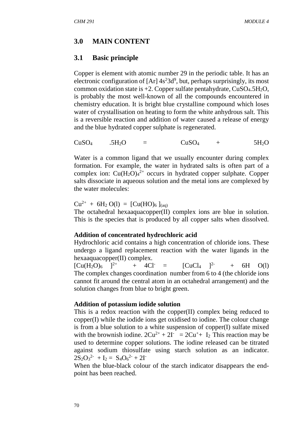#### **3.0 MAIN CONTENT**

#### **3.1 Basic principle**

Copper is element with atomic number 29 in the periodic table. It has an electronic configuration of [Ar]  $4s<sup>2</sup>3d<sup>9</sup>$ , but, perhaps surprisingly, its most common oxidation state is  $+2$ . Copper sulfate pentahydrate, CuSO<sub>4</sub>.5H<sub>2</sub>O, is probably the most well-known of all the compounds encountered in chemistry education. It is bright blue crystalline compound which loses water of crystallisation on heating to form the white anhydrous salt. This is a reversible reaction and addition of water caused a release of energy and the blue hydrated copper sulphate is regenerated.

 $CuSO_4$  .5H<sub>2</sub>O =  $CuSO_4$  + 5H<sub>2</sub>O

Water is a common ligand that we usually encounter during complex formation. For example, the water in hydrated salts is often part of a complex ion:  $Cu(H<sub>2</sub>O)<sub>4</sub><sup>2+</sup>$  occurs in hydrated copper sulphate. Copper salts dissociate in aqueous solution and the metal ions are complexed by the water molecules:

 $Cu^{2+} + 6H_2 O(1) = [Cu(HO)_6]_{(aq)}$ The octahedral hexaaquacopper(II) complex ions are blue in solution. This is the species that is produced by all copper salts when dissolved.

#### **Addition of concentrated hydrochloric acid**

Hydrochloric acid contains a high concentration of chloride ions. These undergo a ligand replacement reaction with the water ligands in the hexaaquacopper(II) complex.

 $[Cu(H_2O)<sub>6</sub>$   $]^{2+}$ +  $4Cl^-$  =  $[CuCl_4$   $]^{2-}$  $+ 6H 0(l)$ The complex changes coordination number from 6 to 4 (the chloride ions cannot fit around the central atom in an octahedral arrangement) and the solution changes from blue to bright green.

#### **Addition of potassium iodide solution**

This is a redox reaction with the copper(II) complex being reduced to copper(I) while the iodide ions get oxidised to iodine. The colour change is from a blue solution to a white suspension of copper(I) sulfate mixed with the brownish iodine.  $2Cu^{2+} + 2I^- = 2Cu^{+} + I_2$  This reaction may be used to determine copper solutions. The iodine released can be titrated against sodium thiosulfate using starch solution as an indicator.  $2S_2O_3^{2-} + I_2 = S_4O_6^{2-} + 2I^{-}$ 

When the blue-black colour of the starch indicator disappears the end point has been reached.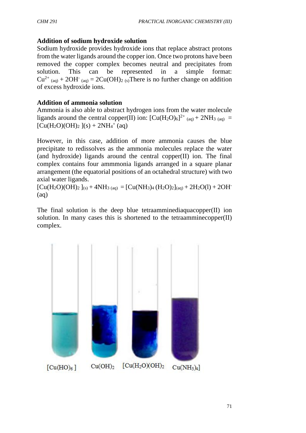#### **Addition of sodium hydroxide solution**

Sodium hydroxide provides hydroxide ions that replace abstract protons from the water ligands around the copper ion. Once two protons have been removed the copper complex becomes neutral and precipitates from solution. This can be represented in a simple format:  $Cu^{2+}$  (aq) + 2OH<sup>-</sup> (aq) = 2Cu(OH)<sub>2</sub> (s)There is no further change on addition of excess hydroxide ions.

#### **Addition of ammonia solution**

Ammonia is also able to abstract hydrogen ions from the water molecule ligands around the central copper(II) ion:  $[Cu(H<sub>2</sub>O)<sub>6</sub>]^{2+}$  (aq) + 2NH<sub>3</sub> (aq) =  $[Cu(H<sub>2</sub>O)(OH)<sub>2</sub>](s) + 2NH<sub>4</sub><sup>+</sup> (aq)$ 

However, in this case, addition of more ammonia causes the blue precipitate to redissolves as the ammonia molecules replace the water (and hydroxide) ligands around the central copper(II) ion. The final complex contains four ammmonia ligands arranged in a square planar arrangement (the equatorial positions of an octahedral structure) with two axial water ligands.

 $[Cu(H<sub>2</sub>O)(OH)<sub>2</sub>]_{(s)} + 4NH<sub>3 (aq)</sub> = [Cu(NH<sub>3</sub>)<sub>4</sub> (H<sub>2</sub>O)<sub>2</sub>]<sub>(aq)</sub> + 2H<sub>2</sub>O(l) + 2OH<sup>-</sup>$ (aq)

The final solution is the deep blue tetraamminediaquacopper(II) ion solution. In many cases this is shortened to the tetraamminecopper(II) complex.

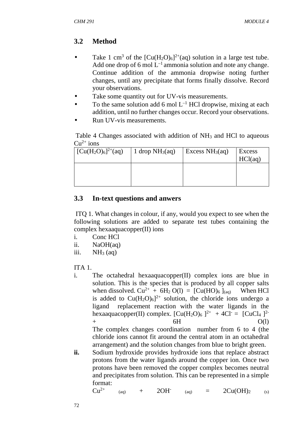# **3.2 Method**

- Take 1 cm<sup>3</sup> of the  $[Cu(H<sub>2</sub>O)<sub>6</sub>]^{2+}(aq)$  solution in a large test tube. Add one drop of 6 mol  $L^{-1}$  ammonia solution and note any change. Continue addition of the ammonia dropwise noting further changes, until any precipitate that forms finally dissolve. Record your observations.
- Take some quantity out for UV-vis measurements.
- To the same solution add 6 mol  $L^{-1}$  HCl dropwise, mixing at each addition, until no further changes occur. Record your observations.
- Run UV-vis measurements.

Table 4 Changes associated with addition of  $NH<sub>3</sub>$  and HCl to aqueous  $Cu^{2+}$  ions

| $[Cu(H2O)6]^{2+}(aq)$ | 1 drop $NH3(aq)$ | Excess $NH3(aq)$ | Excess<br>HCl(aq) |
|-----------------------|------------------|------------------|-------------------|
|                       |                  |                  |                   |
|                       |                  |                  |                   |

# **3.3 In-text questions and anwers**

ITQ 1. What changes in colour, if any, would you expect to see when the following solutions are added to separate test tubes containing the complex hexaaquacopper(II) ions

- i. Conc HCl
- ii. NaOH(aq)
- iii.  $NH<sub>3</sub>(aq)$

ITA 1.

- i. The octahedral hexaaquacopper(II) complex ions are blue in solution. This is the species that is produced by all copper salts when dissolved.  $Cu^{2+}$  + 6H<sub>2</sub> O(1) = [Cu(HO)<sub>6</sub>  $\vert_{(aa)}$  When HCl is added to  $Cu(H_2O)_6]^{2+}$  solution, the chloride ions undergo a ligand replacement reaction with the water ligands in the hexaaquacopper(II) complex.  $[Cu(H<sub>2</sub>O)<sub>6</sub>]^{2+} + 4Cl^- = [CuCl<sub>4</sub>]^{2-}$  $+$  6H O(l) The complex changes coordination number from 6 to 4 (the chloride ions cannot fit around the central atom in an octahedral arrangement) and the solution changes from blue to bright green.
- **ii.** Sodium hydroxide provides hydroxide ions that replace abstract protons from the water ligands around the copper ion. Once two protons have been removed the copper complex becomes neutral and precipitates from solution. This can be represented in a simple format:

$$
Cu^{2+}
$$
 (aq) + 2OH<sup>-</sup> (aq) = 2Cu(OH)<sub>2</sub> (s)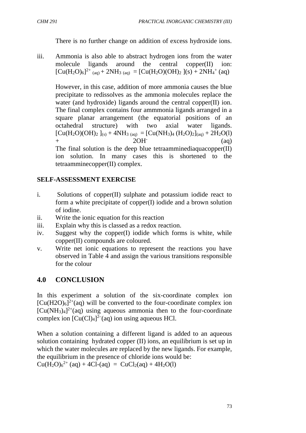There is no further change on addition of excess hydroxide ions.

iii. Ammonia is also able to abstract hydrogen ions from the water molecule ligands around the central copper(II) ion:  $[Cu(H<sub>2</sub>O)<sub>6</sub>]^{2+}$  (aq) + 2NH<sub>3</sub> (aq) =  $[Cu(H<sub>2</sub>O)(OH)<sub>2</sub>]$ (s) + 2NH<sub>4</sub><sup>+</sup> (aq)

However, in this case, addition of more ammonia causes the blue precipitate to redissolves as the ammonia molecules replace the water (and hydroxide) ligands around the central copper(II) ion. The final complex contains four ammmonia ligands arranged in a square planar arrangement (the equatorial positions of an octahedral structure) with two axial water ligands.  $[Cu(H<sub>2</sub>O)(OH)<sub>2</sub>]<sub>(s)</sub> + 4NH<sub>3 (aq)</sub> = [Cu(NH<sub>3</sub>)<sub>4</sub> (H<sub>2</sub>O)<sub>2</sub>]<sub>(aq)</sub> + 2H<sub>2</sub>O(1)$  $+$  2OH<sup>-</sup> (aq) The final solution is the deep blue tetraamminediaquacopper(II) ion solution. In many cases this is shortened to the tetraamminecopper(II) complex.

#### **SELF-ASSESSMENT EXERCISE**

- i. Solutions of copper(II) sulphate and potassium iodide react to form a white precipitate of copper(I) iodide and a brown solution of iodine.
- ii. Write the ionic equation for this reaction
- iii. Explain why this is classed as a redox reaction.
- iv. Suggest why the copper(I) iodide which forms is white, while copper(II) compounds are coloured.
- v. Write net ionic equations to represent the reactions you have observed in Table 4 and assign the various transitions responsible for the colour

### **4.0 CONCLUSION**

In this experiment a solution of the six-coordinate complex ion  $[Cu(H2O)<sub>6</sub>]^{2+}(aq)$  will be converted to the four-coordinate complex ion  $[Cu(NH<sub>3</sub>)<sub>4</sub>]<sup>2+</sup>(aq)$  using aqueous ammonia then to the four-coordinate complex ion  $[Cu(Cl)_4]^{2-}$  (aq) ion using aqueous HCl.

When a solution containing a different ligand is added to an aqueous solution containing hydrated copper (II) ions, an equilibrium is set up in which the water molecules are replaced by the new ligands. For example, the equilibrium in the presence of chloride ions would be:

 $Cu(H<sub>2</sub>O)<sub>6</sub><sup>2+</sup> (aq) + 4Cl-(aq) = CuCl<sub>2</sub>(aq) + 4H<sub>2</sub>O(l)$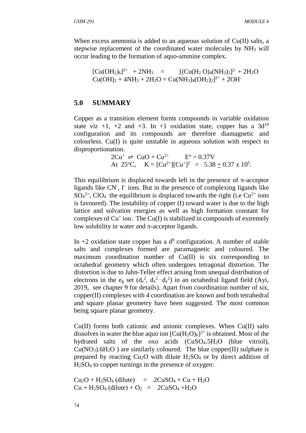When excess ammonia is added to an aqueous solution of Cu(II) salts, a stepwise replacement of the coordinated water molecules by NH<sub>3</sub> will occur leading to the formation of aquo-ammine complex.

$$
[Cu(OH2)6]2+ + 2NH3 = [(Cu(H2 O)4(NH3)2]2+ + 2H2OCu(OH)2 + 4NH3 + 2H2O = Cu(NH3)4(OH2)2]2+ + 2OH-
$$

#### **5.0 SUMMARY**

Copper as a transition element forms compounds in variable oxidation state viz  $+1$ ,  $+2$  and  $+3$ . In  $+1$  oxidation state, copper has a  $3d^{10}$ configuration and its compounds are therefore diamagnetic and colourless. Cu(I) is quite unstable in aqueous solution with respect to disproportionation.

$$
2Cu^{+} \rightleftharpoons CuO + Cu^{2+} \qquad E^{o} = 0.37V
$$
  
At 25°C,  $K = [Cu^{2+}][Cu^{+}]^{2} = 5.38 \pm 0.37 \times 10^{5}.$ 

This equilibrium is displaced towards left in the presence of -acceptor ligands like CN-, I- ions. But in the presence of complexing ligands like  $SO<sub>4</sub><sup>2+</sup>$ , ClO<sub>4</sub><sup>-</sup> the equilibrium is displaced towards the right (i.e Cu<sup>2+</sup> ions is favoured). The instability of copper (I) toward water is due to the high lattice and solvation energies as well as high formation constant for complexes of Cu<sup>+</sup> ion. The Cu(I) is stabilized in compounds of extremely low solubility in water and -acceptor ligands.

In  $+2$  oxidation state copper has a  $d^9$  configuration. A number of stable salts and complexes formed are paramagnetic and coloured. The maximum coordination number of Cu(II) is six corresponding to octahedral geometry which often undergoes tetragonal distortion. The distortion is due to Jahn-Teller effect arising from unequal distribution of electrons in the e<sub>g</sub> set  $(d_z^2, d_x^2, d_y^2)$  in an octahedral ligand field (Ayi, 2019, see chapter 9 for details). Apart from coordination number of six, copper(II) complexes with 4 coordination are known and both tetrahedral and square planar geometry have been suggested. The most common being square planar geometry.

Cu(II) forms both cationic and anionic complexes. When Cu(II) salts dissolves in water the blue aquo ion  $\text{[Cu(H<sub>2</sub>O)<sub>6</sub>]}^{2+}$  is obtained. Most of the hydrated salts of the  $oxo$  acids  $(CuSO<sub>4</sub>.5H<sub>2</sub>O)$  (blue vitriol),  $Cu(NO<sub>3</sub>)$ .6H<sub>2</sub>O) are similarly coloured. The blue copper(II) sulphate is prepared by reacting  $Cu<sub>2</sub>O$  with dilute  $H<sub>2</sub>SO<sub>4</sub>$  or by direct addition of H2SO<sup>4</sup> to copper turnings in the presence of oxygen:

 $Cu<sub>2</sub>O + H<sub>2</sub>SO<sub>4</sub>$  (dilute) =  $2CuSO<sub>4</sub> + Cu + H<sub>2</sub>O$  $Cu + H_2SO_4$  (dilute) +  $O_2$  = 2CuSO<sub>4</sub> + H<sub>2</sub>O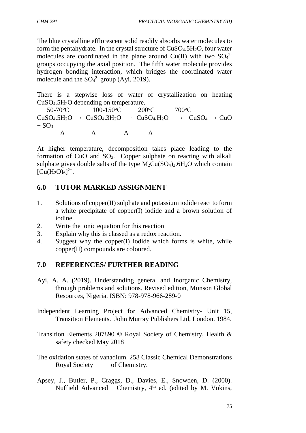The blue crystalline efflorescent solid readily absorbs water molecules to form the pentahydrate. In the crystal structure of  $CuSO<sub>4</sub>.5H<sub>2</sub>O$ , four water molecules are coordinated in the plane around Cu(II) with two  $SO_4^2$ groups occupying the axial position. The fifth water molecule provides hydrogen bonding interaction, which bridges the coordinated water molecule and the  $SO_4^2$  group (Ayi, 2019).

There is a stepwise loss of water of crystallization on heating CuSO4.5H2O depending on temperature.

50-70<sup>o</sup>C 100-150<sup>o</sup>C 200<sup>o</sup>C 700<sup>o</sup>C  $CuSO<sub>4</sub>.5H<sub>2</sub>O$   $CuSO<sub>4</sub>.3H<sub>2</sub>O$   $CuSO<sub>4</sub>.H<sub>2</sub>O$   $CuSO<sub>4</sub>$   $CuO$  $+ SO<sub>3</sub>$ 

At higher temperature, decomposition takes place leading to the formation of CuO and SO3. Copper sulphate on reacting with alkali sulphate gives double salts of the type  $M_2Cu(SO_4)_2.6H_2O$  which contain  $[Cu(H<sub>2</sub>O)<sub>6</sub>]<sup>2+</sup>$ .

## **6.0 TUTOR-MARKED ASSIGNMENT**

- 1. Solutions of copper(II) sulphate and potassium iodide react to form a white precipitate of copper(I) iodide and a brown solution of iodine.
- 2. Write the ionic equation for this reaction
- 3. Explain why this is classed as a redox reaction.
- 4. Suggest why the copper(I) iodide which forms is white, while copper(II) compounds are coloured.

### **7.0 REFERENCES/ FURTHER READING**

- Ayi, A. A. (2019). Understanding general and Inorganic Chemistry, through problems and solutions. Revised edition, Munson Global Resources, Nigeria. ISBN: 978-978-966-289-0
- Independent Learning Project for Advanced Chemistry- Unit 15, Transition Elements. John Murray Publishers Ltd, London. 1984.
- Transition Elements 207890 © Royal Society of Chemistry, Health & safety checked May 2018
- The oxidation states of vanadium. 258 Classic Chemical Demonstrations Royal Society of Chemistry.
- Apsey, J., Butler, P., Craggs, D., Davies, E., Snowden, D. (2000). Nuffield Advanced Chemistry, 4<sup>th</sup> ed. (edited by M. Vokins,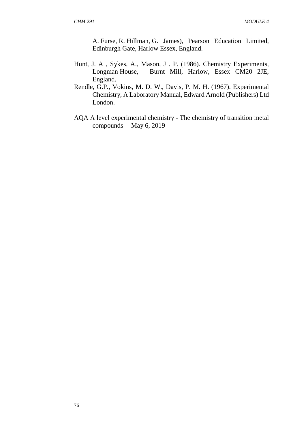A. Furse, R. Hillman, G. James), Pearson Education Limited, Edinburgh Gate, Harlow Essex, England.

- Hunt, J. A , Sykes, A., Mason, J . P. (1986). Chemistry Experiments, Longman House, Burnt Mill, Harlow, Essex CM20 2JE, England.
- Rendle, G.P., Vokins, M. D. W., Davis, P. M. H. (1967). Experimental Chemistry, A Laboratory Manual, Edward Arnold (Publishers) Ltd London.
- AQA A level experimental chemistry The chemistry of transition metal<br>compounds May 6, 2019 May 6, 2019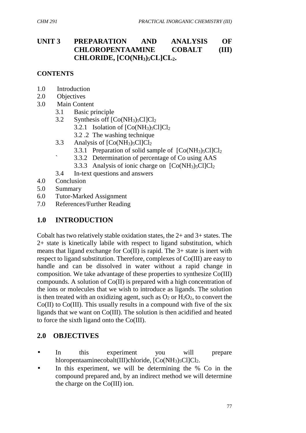# **UNIT 3 PREPARATION AND ANALYSIS OF CHLOROPENTAAMINE COBALT (III) CHLORIDE, [CO(NH3)5CL]CL2.**

### **CONTENTS**

- 1.0 Introduction
- 2.0 Objectives
- 3.0 Main Content
	- 3.1 Basic principle
	- 3.2 Synthesis off  $[Co(NH<sub>3</sub>)<sub>5</sub>Cl]Cl<sub>2</sub>$ 
		- 3.2.1 Isolation of  $[Co(NH<sub>3</sub>)<sub>5</sub>Cl]Cl<sub>2</sub>$
		- 3.2 .2 The washing technique
	- 3.3 Analysis of  $[Co(NH<sub>3</sub>)<sub>5</sub>Cl]Cl<sub>2</sub>$ 
		- 3.3.1 Preparation of solid sample of  $[Co(NH<sub>3</sub>)<sub>5</sub>Cl]Cl<sub>2</sub>$ 
			- ` 3.3.2 Determination of percentage of Co using AAS
			- 3.3.3 Analysis of ionic charge on  $[Co(NH<sub>3</sub>)<sub>5</sub>Cl]Cl<sub>2</sub>$
	- 3.4 In-text questions and answers
- 4.0 Conclusion
- 5.0 Summary
- 6.0 Tutor-Marked Assignment
- 7.0 References/Further Reading

## **1.0 INTRODUCTION**

Cobalt has two relatively stable oxidation states, the 2+ and 3+ states. The 2+ state is kinetically labile with respect to ligand substitution, which means that ligand exchange for  $Co(II)$  is rapid. The 3+ state is inert with respect to ligand substitution. Therefore, complexes of Co(III) are easy to handle and can be dissolved in water without a rapid change in composition. We take advantage of these properties to synthesize Co(III) compounds. A solution of Co(II) is prepared with a high concentration of the ions or molecules that we wish to introduce as ligands. The solution is then treated with an oxidizing agent, such as  $O_2$  or  $H_2O_2$ , to convert the  $Co(II)$  to  $Co(III)$ . This usually results in a compound with five of the six ligands that we want on Co(III). The solution is then acidified and heated to force the sixth ligand onto the Co(III).

### **2.0 OBJECTIVES**

- In this experiment you will prepare hloropentaaminecobalt(III)chloride,  $[Co(NH<sub>3</sub>)<sub>5</sub>Cl]Cl<sub>2</sub>$ .
- In this experiment, we will be determining the % Co in the compound prepared and, by an indirect method we will determine the charge on the Co(III) ion.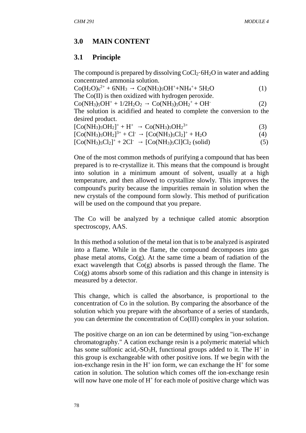#### **3.0 MAIN CONTENT**

#### **3.1 Principle**

The compound is prepared by dissolving  $CoCl<sub>2</sub>·6H<sub>2</sub>O$  in water and adding concentrated ammonia solution.

 $Co(H<sub>2</sub>O)<sub>6</sub><sup>2+</sup> + 6NH<sub>3</sub>$  $Co(NH_3)5OH^+ + NH_4^+ + 5H_2O$  (1)

The Co(II) is then oxidized with hydrogen peroxide.  $Co(NH_3)_5OH^+ + 1/2H_2O_2$   $Co(NH_3)_5OH_2^+ + OH^-$  (2)

The solution is acidified and heated to complete the conversion to the

desired product.

| $[Co(NH3)5OH2]+ + H+$ | $Co(NH_3)_5OH_2^{3+}$ |  |
|-----------------------|-----------------------|--|
|-----------------------|-----------------------|--|

$$
[Co(NH3)5OH2]3+ + Cl- [Co(NH3)5Cl2]+ + H2O (4)\n[Co(NH3)5Cl2]+ + 2Cl- [Co(NH3)5Cl]Cl2 (solid) (5)
$$

One of the most common methods of purifying a compound that has been prepared is to re-crystallize it. This means that the compound is brought into solution in a minimum amount of solvent, usually at a high temperature, and then allowed to crystallize slowly. This improves the compound's purity because the impurities remain in solution when the new crystals of the compound form slowly. This method of purification will be used on the compound that you prepare.

The Co will be analyzed by a technique called atomic absorption spectroscopy, AAS.

In this method a solution of the metal ion that is to be analyzed is aspirated into a flame. While in the flame, the compound decomposes into gas phase metal atoms,  $Co(g)$ . At the same time a beam of radiation of the exact wavelength that  $Co(g)$  absorbs is passed through the flame. The  $Co(g)$  atoms absorb some of this radiation and this change in intensity is measured by a detector.

This change, which is called the absorbance, is proportional to the concentration of Co in the solution. By comparing the absorbance of the solution which you prepare with the absorbance of a series of standards, you can determine the concentration of Co(III) complex in your solution.

The positive charge on an ion can be determined by using "ion-exchange chromatography." A cation exchange resin is a polymeric material which has some sulfonic acid,-SO<sub>3</sub>H, functional groups added to it. The H<sup>+</sup> in this group is exchangeable with other positive ions. If we begin with the ion-exchange resin in the  $H^+$  ion form, we can exchange the  $H^+$  for some cation in solution. The solution which comes off the ion-exchange resin will now have one mole of  $H^+$  for each mole of positive charge which was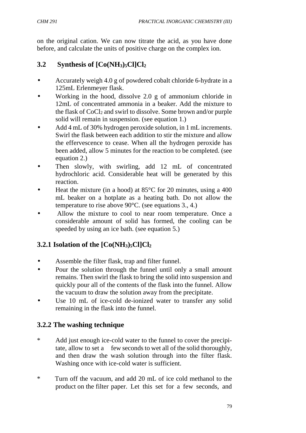on the original cation. We can now titrate the acid, as you have done before, and calculate the units of positive charge on the complex ion.

# **3.2 Synthesis of [Co(NH3)5Cl]Cl<sup>2</sup>**

- Accurately weigh 4.0 g of powdered cobalt chloride 6-hydrate in a 125mL Erlenmeyer flask.
- Working in the hood, dissolve 2.0 g of ammonium chloride in 12mL of concentrated ammonia in a beaker. Add the mixture to the flask of  $CoCl<sub>2</sub>$  and swirl to dissolve. Some brown and/or purple solid will remain in suspension. (see equation 1.)
- Add 4 mL of 30% hydrogen peroxide solution, in 1 mL increments. Swirl the flask between each addition to stir the mixture and allow the effervescence to cease. When all the hydrogen peroxide has been added, allow 5 minutes for the reaction to be completed. (see equation 2.)
- Then slowly, with swirling, add 12 mL of concentrated hydrochloric acid. Considerable heat will be generated by this reaction.
- Heat the mixture (in a hood) at 85°C for 20 minutes, using a 400 mL beaker on a hotplate as a heating bath. Do not allow the temperature to rise above 90°C. (see equations 3., 4.)
- Allow the mixture to cool to near room temperature. Once a considerable amount of solid has formed, the cooling can be speeded by using an ice bath. (see equation 5.)

# **3.2.1 Isolation of the [Co(NH3)5Cl]Cl<sup>2</sup>**

- Assemble the filter flask, trap and filter funnel.
- Pour the solution through the funnel until only a small amount remains. Then swirl the flask to bring the solid into suspension and quickly pour all of the contents of the flask into the funnel. Allow the vacuum to draw the solution away from the precipitate.
- Use 10 mL of ice-cold de-ionized water to transfer any solid remaining in the flask into the funnel.

# **3.2.2 The washing technique**

- \* Add just enough ice-cold water to the funnel to cover the precipitate, allow to set a few seconds to wet all of the solid thoroughly, and then draw the wash solution through into the filter flask. Washing once with ice-cold water is sufficient.
- \* Turn off the vacuum, and add 20 mL of ice cold methanol to the product on the filter paper. Let this set for a few seconds, and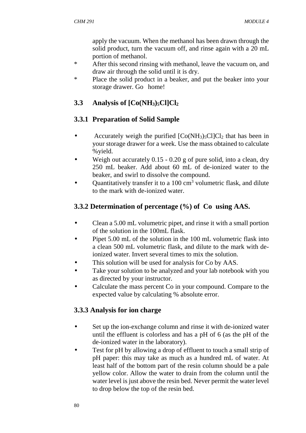apply the vacuum. When the methanol has been drawn through the solid product, turn the vacuum off, and rinse again with a 20 mL portion of methanol.

- \* After this second rinsing with methanol, leave the vacuum on, and draw air through the solid until it is dry.
- \* Place the solid product in a beaker, and put the beaker into your storage drawer. Go home!

# **3.3 Analysis of [Co(NH3)5Cl]Cl<sup>2</sup>**

# **3.3.1 Preparation of Solid Sample**

- Accurately weigh the purified  $[Co(NH<sub>3</sub>)<sub>5</sub>Cl]Cl<sub>2</sub>$  that has been in your storage drawer for a week. Use the mass obtained to calculate %yield.
- Weigh out accurately 0.15 0.20 g of pure solid, into a clean, dry 250 mL beaker. Add about 60 mL of de-ionized water to the beaker, and swirl to dissolve the compound.
- Quantitatively transfer it to a  $100 \text{ cm}^3$  volumetric flask, and dilute to the mark with de-ionized water.

# **3.3.2 Determination of percentage (%) of Co using AAS.**

- Clean a 5.00 mL volumetric pipet, and rinse it with a small portion of the solution in the 100mL flask.
- Pipet 5.00 mL of the solution in the 100 mL volumetric flask into a clean 500 mL volumetric flask, and dilute to the mark with deionized water. Invert several times to mix the solution.
- This solution will be used for analysis for Co by AAS.
- Take your solution to be analyzed and your lab notebook with you as directed by your instructor.
- Calculate the mass percent Co in your compound. Compare to the expected value by calculating % absolute error.

# **3.3.3 Analysis for ion charge**

- Set up the ion-exchange column and rinse it with de-ionized water until the effluent is colorless and has a pH of 6 (as the pH of the de-ionized water in the laboratory).
- Test for pH by allowing a drop of effluent to touch a small strip of pH paper: this may take as much as a hundred mL of water. At least half of the bottom part of the resin column should be a pale yellow color. Allow the water to drain from the column until the water level is just above the resin bed. Never permit the water level to drop below the top of the resin bed.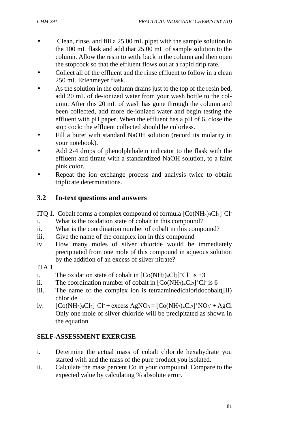- Clean, rinse, and fill a 25.00 mL pipet with the sample solution in the 100 mL flask and add that 25.00 mL of sample solution to the column. Allow the resin to settle back in the column and then open the stopcock so that the effluent flows out at a rapid drip rate.
- Collect all of the effluent and the rinse effluent to follow in a clean 250 mL Erlenmeyer flask.
- As the solution in the column drains just to the top of the resin bed, add 20 mL of de-ionized water from your wash bottle to the col umn. After this 20 mL of wash has gone through the column and been collected, add more de-ionized water and begin testing the effluent with pH paper. When the effluent has a pH of 6, close the stop cock: the effluent collected should be colorless.
- Fill a buret with standard NaOH solution (record its molarity in your notebook).
- Add 2-4 drops of phenolphthalein indicator to the flask with the effluent and titrate with a standardized NaOH solution, to a faint pink color.
- Repeat the ion exchange process and analysis twice to obtain triplicate determinations.

# **3.2 In-text questions and answers**

ITO 1. Cobalt forms a complex compound of formula  $[Co(NH<sub>3</sub>)<sub>4</sub>Cl<sub>2</sub>]<sup>+</sup>Cl<sup>-</sup>$ 

- i. What is the oxidation state of cobalt in this compound?
- ii. What is the coordination number of cobalt in this compound?
- iii. Give the name of the complex ion in this compound
- iv. How many moles of silver chloride would be immediately precipitated from one mole of this compound in aqueous solution by the addition of an excess of silver nitrate?

#### ITA 1.

- i. The oxidation state of cobalt in  $[Co(NH<sub>3</sub>)<sub>4</sub>Cl<sub>2</sub>]<sup>+</sup>Cl<sup>-</sup>$  is +3
- ii. The coordination number of cobalt in  $[Co(NH<sub>3</sub>)<sub>4</sub>Cl<sub>2</sub>]<sup>+</sup>Cl<sup>-</sup>$  is 6
- iii. The name of the complex ion is tetraaminedichloridocobalt(III) chloride
- iv.  $[Co(NH_3)_4Cl_2]^+Cl^- + excess AgNO_3 = [Co(NH_3)_4Cl_2]^+NO_3^- + AgCl$ Only one mole of silver chloride will be precipitated as shown in the equation.

### **SELF-ASSESSMENT EXERCISE**

- i. Determine the actual mass of cobalt chloride hexahydrate you started with and the mass of the pure product you isolated.
- ii. Calculate the mass percent Co in your compound. Compare to the expected value by calculating % absolute error.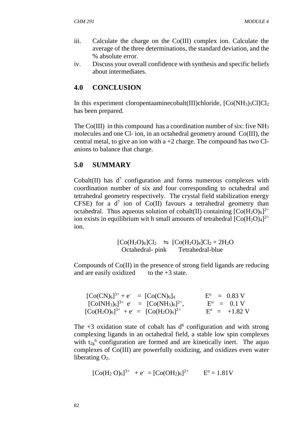- iii. Calculate the charge on the Co(III) complex ion. Calculate the average of the three determinations, the standard deviation, and the % absolute error.
- iv. Discuss your overall confidence with synthesis and specific beliefs about intermediates.

#### **4.0 CONCLUSION**

In this experiment cloropentaaminecobalt(III)chloride,  $[Co(NH<sub>3</sub>)<sub>5</sub>Cl]Cl<sub>2</sub>$ has been prepared.

The Co(III) in this compound has a coordination number of six: five NH<sub>3</sub> molecules and one Cl- ion, in an octahedral geometry around Co(III), the central metal, to give an ion with  $a + 2$  charge. The compound has two Clanions to balance that charge.

### **5.0 SUMMARY**

Cobalt(II) has  $d^7$  configuration and forms numerous complexes with coordination number of six and four corresponding to octahedral and tetrahedral geometry respectively. The crystal field stabilization energy CFSE) for a  $d^7$  ion of Co(II) favours a tetrahedral geometry than octahedral. Thus aqueous solution of cobalt(II) containing  $[Co(H<sub>2</sub>O)<sub>6</sub>]<sup>2+</sup>$ ion exists in equilibrium with small amounts of tetrahedral  $[Co(H<sub>2</sub>O)<sub>4</sub>]^{2+}$ ion.

> $[Co(H<sub>2</sub>O)<sub>6</sub>]Cl<sub>2</sub> \cong [Co(H<sub>2</sub>O)<sub>4</sub>]Cl<sub>2</sub> + 2H<sub>2</sub>O$ <br>Octahedral-pink Tetrahedral-blue Octahedral- pink

Compounds of Co(II) in the presence of strong field ligands are reducing and are easily oxidized to the  $+3$  state.

| $[Co(CN)6]^{3+} + e^- = [Co(CN)6]_4$          | $E^{\circ} = 0.83$ V  |
|-----------------------------------------------|-----------------------|
| $[CoINH_3)_6]^{3+}$ e = $[Co(NH_3)_6]^{2+}$ , | $E^{\circ} = 0.1 V$   |
| $[Co(H2O)6]^{3+} + e^- = [Co(H2O)6]^{2+}$     | $E^{\circ} = +1.82$ V |

The  $+3$  oxidation state of cobalt has  $d^6$  configuration and with strong complexing ligands in an octahedral field, a stable low spin complexes with  $t_{2g}$ <sup>6</sup> configuration are formed and are kinetically inert. The aquo complexes of Co(III) are powerfully oxidizing, and oxidizes even water liberating  $O_2$ .

$$
[\text{Co}(H_2 O)_6]^{3+} + e^- = [\text{Co}(OH_2)_6]^{2+} \qquad E^o = 1.81V
$$